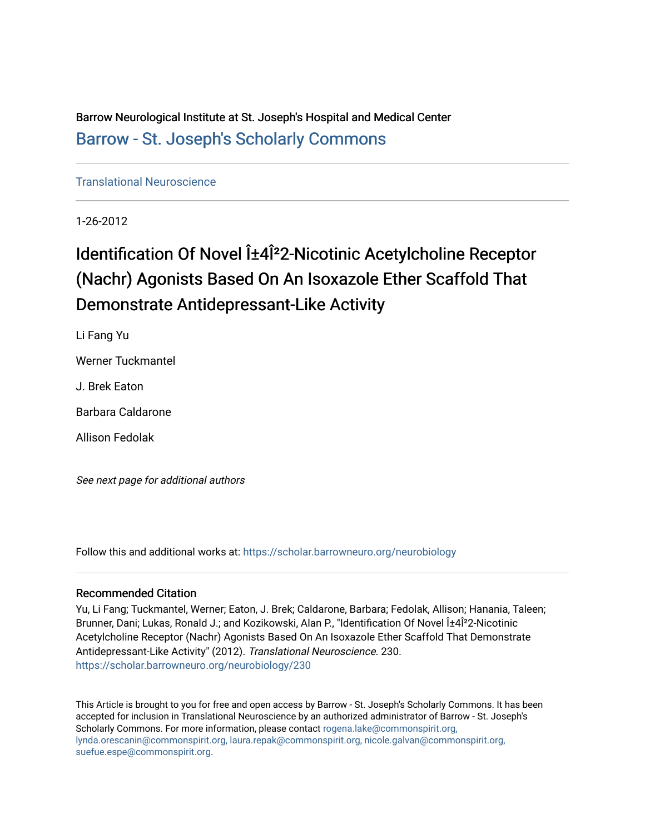Barrow Neurological Institute at St. Joseph's Hospital and Medical Center [Barrow - St. Joseph's Scholarly Commons](https://scholar.barrowneuro.org/) 

[Translational Neuroscience](https://scholar.barrowneuro.org/neurobiology)

1-26-2012

# Identification Of Novel α4Î<sup>2</sup>2-Nicotinic Acetylcholine Receptor (Nachr) Agonists Based On An Isoxazole Ether Scaffold That Demonstrate Antidepressant-Like Activity

Li Fang Yu

Werner Tuckmantel

J. Brek Eaton

Barbara Caldarone

Allison Fedolak

See next page for additional authors

Follow this and additional works at: [https://scholar.barrowneuro.org/neurobiology](https://scholar.barrowneuro.org/neurobiology?utm_source=scholar.barrowneuro.org%2Fneurobiology%2F230&utm_medium=PDF&utm_campaign=PDFCoverPages)

# Recommended Citation

Yu, Li Fang; Tuckmantel, Werner; Eaton, J. Brek; Caldarone, Barbara; Fedolak, Allison; Hanania, Taleen; Brunner, Dani; Lukas, Ronald J.; and Kozikowski, Alan P., "Identification Of Novel α4Î<sup>2</sup>2-Nicotinic Acetylcholine Receptor (Nachr) Agonists Based On An Isoxazole Ether Scaffold That Demonstrate Antidepressant-Like Activity" (2012). Translational Neuroscience. 230. [https://scholar.barrowneuro.org/neurobiology/230](https://scholar.barrowneuro.org/neurobiology/230?utm_source=scholar.barrowneuro.org%2Fneurobiology%2F230&utm_medium=PDF&utm_campaign=PDFCoverPages)

This Article is brought to you for free and open access by Barrow - St. Joseph's Scholarly Commons. It has been accepted for inclusion in Translational Neuroscience by an authorized administrator of Barrow - St. Joseph's Scholarly Commons. For more information, please contact [rogena.lake@commonspirit.org,](mailto:rogena.lake@commonspirit.org,%20lynda.orescanin@commonspirit.org,%20laura.repak@commonspirit.org,%20nicole.galvan@commonspirit.org,%20suefue.espe@commonspirit.org) [lynda.orescanin@commonspirit.org, laura.repak@commonspirit.org, nicole.galvan@commonspirit.org,](mailto:rogena.lake@commonspirit.org,%20lynda.orescanin@commonspirit.org,%20laura.repak@commonspirit.org,%20nicole.galvan@commonspirit.org,%20suefue.espe@commonspirit.org)  [suefue.espe@commonspirit.org](mailto:rogena.lake@commonspirit.org,%20lynda.orescanin@commonspirit.org,%20laura.repak@commonspirit.org,%20nicole.galvan@commonspirit.org,%20suefue.espe@commonspirit.org).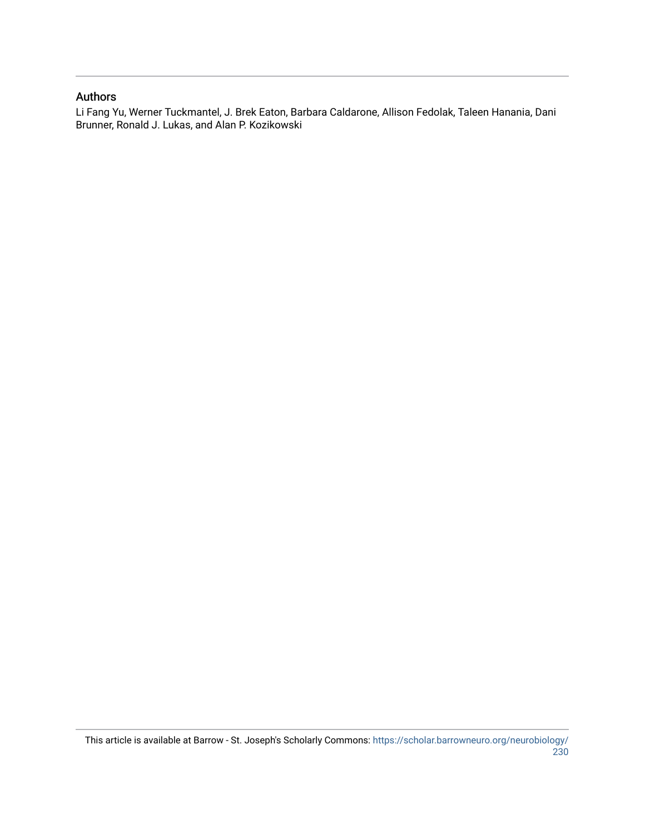# Authors

Li Fang Yu, Werner Tuckmantel, J. Brek Eaton, Barbara Caldarone, Allison Fedolak, Taleen Hanania, Dani Brunner, Ronald J. Lukas, and Alan P. Kozikowski

This article is available at Barrow - St. Joseph's Scholarly Commons: [https://scholar.barrowneuro.org/neurobiology/](https://scholar.barrowneuro.org/neurobiology/230) [230](https://scholar.barrowneuro.org/neurobiology/230)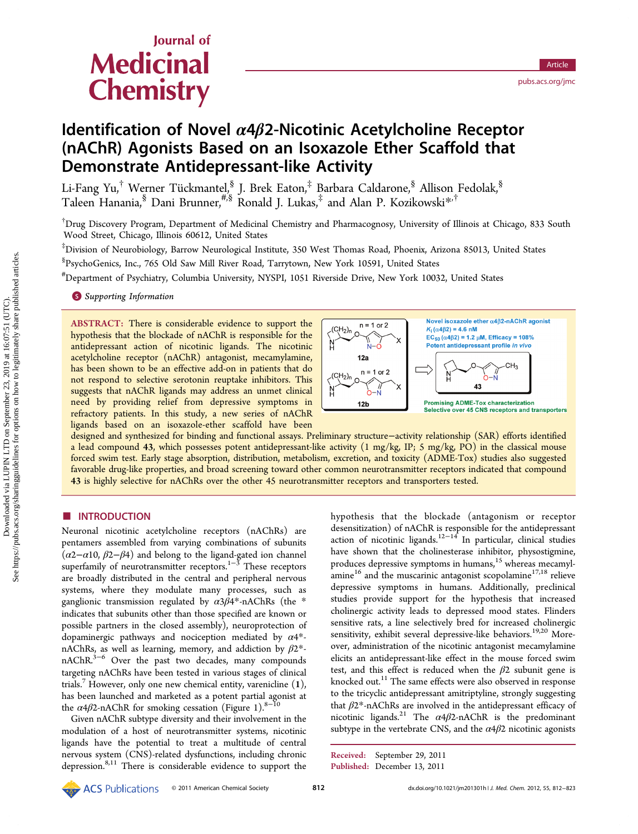# Journal of **Medicinal Chemistry**

# Identification of Novel  $\alpha$ 4 $\beta$ 2-Nicotinic Acetylcholine Receptor (nAChR) Agonists Based on an Isoxazole Ether Scaffold that Demonstrate Antidepressant-like Activity

Li-Fang Yu, $^\dagger$  Werner Tückmantel, $^{\S}_{\nu_\circ}$  J. Brek Eaton, $^\ddagger$  Barbara Caldarone, $^{\S}$  Allison Fedolak, $^{\S}$ Taleen Hanania, $^{\$}$  Dani Brunner, $^{\#,\$}$  Ronald J. Lukas, $^{\ddag}$  and Alan P. Kozikowski $^{\ast,\dagger}$ 

† Drug Discovery Program, Department of Medicinal Chemistry and Pharmacognosy, University of Illinois at Chicago, 833 South Wood Street, Chicago, Illinois 60612, United States

‡ Division of Neurobiology, Barrow Neurological Institute, 350 West Thomas Road, Phoenix, Arizona 85013, United States § PsychoGenics, Inc., 765 Old Saw Mill River Road, Tarrytown, New York 10591, United States

# Department of Psychiatry, Columbia University, NYSPI, 1051 Riverside Drive, New York 10032, United States

**S** [Supporting Information](#page-11-0)

ABSTRACT: There is considerable evidence to support the hypothesis that the blockade of nAChR is responsible for the antidepressant action of nicotinic ligands. The nicotinic acetylcholine receptor (nAChR) antagonist, mecamylamine, has been shown to be an effective add-on in patients that do not respond to selective serotonin reuptake inhibitors. This suggests that nAChR ligands may address an unmet clinical need by providing relief from depressive symptoms in refractory patients. In this study, a new series of nAChR ligands based on an isoxazole-ether scaffold have been



designed and synthesized for binding and functional assays. Preliminary structure−activity relationship (SAR) efforts identified a lead compound 43, which possesses potent antidepressant-like activity  $(1 \text{ mg/kg}, \text{IP}; 5 \text{ mg/kg}, \text{PO})$  in the classical mouse forced swim test. Early stage absorption, distribution, metabolism, excretion, and toxicity (ADME-Tox) studies also suggested favorable drug-like properties, and broad screening toward other common neurotransmitter receptors indicated that compound 43 is highly selective for nAChRs over the other 45 neurotransmitter receptors and transporters tested.

# ■ INTRODUCTION

Neuronal nicotinic acetylcholine receptors (nAChRs) are pentamers assembled from varying combinations of subunits  $(\alpha 2-\alpha 10, \beta 2-\beta 4)$  and belong to the ligand-gated ion channel superfamily of neurotransmitter receptors.<sup>[1](#page-11-0)−[3](#page-11-0)</sup> These receptors are broadly distributed in the central and peripheral nervous systems, where they modulate many processes, such as ganglionic transmission regulated by  $\alpha 3\beta 4^*$ -nAChRs (the \* indicates that subunits other than those specified are known or possible partners in the closed assembly), neuroprotection of dopaminergic pathways and nociception mediated by  $\alpha$ 4<sup>\*</sup>nAChRs, as well as learning, memory, and addiction by  $\beta 2^*$ nAChR.[3](#page-11-0)−[6](#page-11-0) Over the past two decades, many compounds targeting nAChRs have been tested in various stages of clinical trials.<sup>[7](#page-12-0)</sup> However, only one new chemical entity, varenicline  $(1)$ , has been launched and marketed as a potent partial agonist at the  $\alpha$ 4 $\beta$ 2-nAChR for smoking cessation (Figure [1](#page-3-0)).<sup>8–[10](#page-12-0)</sup>

Given nAChR subtype diversity and their involvement in the modulation of a host of neurotransmitter systems, nicotinic ligands have the potential to treat a multitude of central nervous system (CNS)-related dysfunctions, including chronic depression.[8](#page-12-0),[11](#page-12-0) There is considerable evidence to support the

hypothesis that the blockade (antagonism or receptor desensitization) of nAChR is responsible for the antidepressant action of nicotinic ligands.<sup>[12](#page-12-0)−[14](#page-12-0)</sup> In particular, clinical studies have shown that the cholinesterase inhibitor, physostigmine, produces depressive symptoms in humans,<sup>[15](#page-12-0)</sup> whereas mecamyl-amine<sup>[16](#page-12-0)</sup> and the muscarinic antagonist scopolamine<sup>[17,18](#page-12-0)</sup> relieve depressive symptoms in humans. Additionally, preclinical studies provide support for the hypothesis that increased cholinergic activity leads to depressed mood states. Flinders sensitive rats, a line selectively bred for increased cholinergic sensitivity, exhibit several depressive-like behaviors.<sup>[19,20](#page-12-0)</sup> Moreover, administration of the nicotinic antagonist mecamylamine elicits an antidepressant-like effect in the mouse forced swim test, and this effect is reduced when the  $\beta$ 2 subunit gene is knocked out.<sup>[11](#page-12-0)</sup> The same effects were also observed in response to the tricyclic antidepressant amitriptyline, strongly suggesting that  $\beta$ 2\*-nAChRs are involved in the antidepressant efficacy of nicotinic ligands.<sup>[21](#page-12-0)</sup> The  $\alpha$ 4 $\beta$ 2-nAChR is the predominant subtype in the vertebrate CNS, and the  $\alpha$ 4 $\beta$ 2 nicotinic agonists

Received: September 29, 2011 Published: December 13, 2011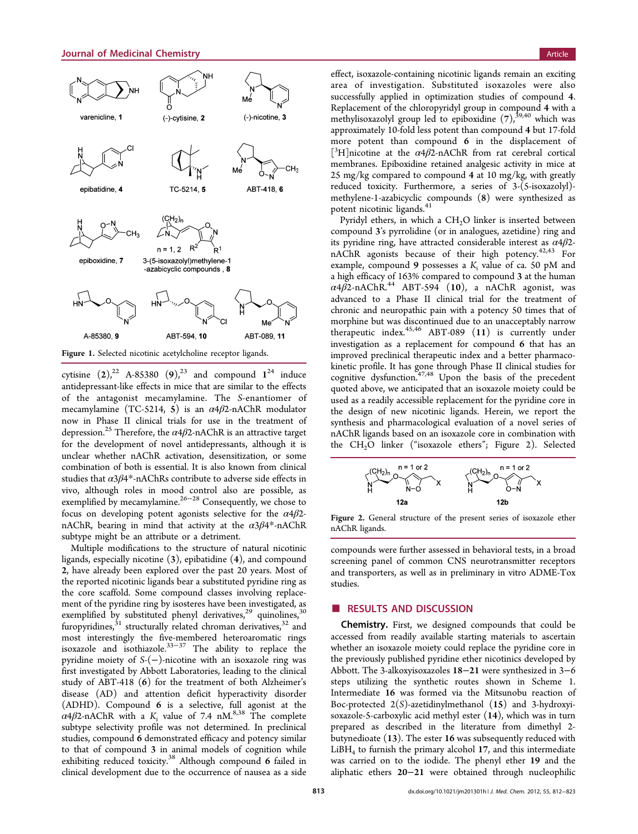<span id="page-3-0"></span>

cytisine  $(2)$ ,<sup>[22](#page-12-0)</sup> A-85380  $(9)$ ,<sup>[23](#page-12-0)</sup> and compound  $1^{24}$  $1^{24}$  $1^{24}$  induce antidepressant-like effects in mice that are similar to the effects of the antagonist mecamylamine. The S-enantiomer of mecamylamine (TC-5214, 5) is an  $\alpha$ 4 $\beta$ 2-nAChR modulator now in Phase II clinical trials for use in the treatment of depression.<sup>[25](#page-12-0)</sup> Therefore, the  $\alpha$ 4 $\beta$ 2-nAChR is an attractive target for the development of novel antidepressants, although it is unclear whether nAChR activation, desensitization, or some combination of both is essential. It is also known from clinical studies that  $\alpha$ 3 $\beta$ 4\*-nAChRs contribute to adverse side effects in vivo, although roles in mood control also are possible, as exemplified by mecamylamine.<sup>[26](#page-12-0)−[28](#page-12-0)</sup> Consequently, we chose to focus on developing potent agonists selective for the  $\alpha$ 4 $\beta$ 2nAChR, bearing in mind that activity at the  $\alpha$ 3 $\beta$ 4\*-nAChR subtype might be an attribute or a detriment.

Multiple modifications to the structure of natural nicotinic ligands, especially nicotine (3), epibatidine (4), and compound 2, have already been explored over the past 20 years. Most of the reported nicotinic ligands bear a substituted pyridine ring as the core scaffold. Some compound classes involving replacement of the pyridine ring by isosteres have been investigated, as exemplified by substituted phenyl derivatives,<sup>[29](#page-12-0)</sup> quinolines,<sup>[30](#page-12-0)</sup> furopyridines, $31$  structurally related chroman derivatives,  $32$  and most interestingly the five-membered heteroaromatic rings isoxazole and isothiazole.[33](#page-12-0)−[37](#page-12-0) The ability to replace the pyridine moiety of S-(−)-nicotine with an isoxazole ring was first investigated by Abbott Laboratories, leading to the clinical study of ABT-418 (6) for the treatment of both Alzheimer's disease (AD) and attention deficit hyperactivity disorder (ADHD). Compound 6 is a selective, full agonist at the  $\alpha$ 4 $\beta$ 2-nAChR with a K<sub>i</sub> value of 7.4 nM.<sup>[8,38](#page-12-0)</sup> The complete subtype selectivity profile was not determined. In preclinical studies, compound 6 demonstrated efficacy and potency similar to that of compound 3 in animal models of cognition while exhibiting reduced toxicity.<sup>[38](#page-12-0)</sup> Although compound 6 failed in clinical development due to the occurrence of nausea as a side

effect, isoxazole-containing nicotinic ligands remain an exciting area of investigation. Substituted isoxazoles were also successfully applied in optimization studies of compound 4. Replacement of the chloropyridyl group in compound 4 with a methylisoxazolyl group led to epiboxidine  $(7)$ ,<sup>[39](#page-12-0),[40](#page-12-0)</sup> which was approximately 10-fold less potent than compound 4 but 17-fold more potent than compound 6 in the displacement of [ ${}^{3}$ H]nicotine at the  $\alpha$ 4 $\beta$ 2-nAChR from rat cerebral cortical membranes. Epiboxidine retained analgesic activity in mice at 25 mg/kg compared to compound 4 at 10 mg/kg, with greatly reduced toxicity. Furthermore, a series of 3-(5-isoxazolyl) methylene-1-azabicyclic compounds (8) were synthesized as potent nicotinic ligands.<sup>[41](#page-12-0)</sup>

Pyridyl ethers, in which a  $CH<sub>2</sub>O$  linker is inserted between compound 3's pyrrolidine (or in analogues, azetidine) ring and its pyridine ring, have attracted considerable interest as  $\alpha$ 4 $\beta$ 2nAChR agonists because of their high potency. $42,43$  For example, compound 9 possesses a  $K_i$  value of ca. 50 pM and a high efficacy of 163% compared to compound 3 at the human  $\alpha$ 4 $\beta$ 2-nAChR.<sup>[44](#page-13-0)</sup> ABT-594 (10), a nAChR agonist, was advanced to a Phase II clinical trial for the treatment of chronic and neuropathic pain with a potency 50 times that of morphine but was discontinued due to an unacceptably narrow therapeutic index.<sup>[45,46](#page-13-0)</sup> ABT-089 (11) is currently under investigation as a replacement for compound 6 that has an improved preclinical therapeutic index and a better pharmacokinetic profile. It has gone through Phase II clinical studies for cognitive dysfunction.<sup>[47,48](#page-13-0)</sup> Upon the basis of the precedent quoted above, we anticipated that an isoxazole moiety could be used as a readily accessible replacement for the pyridine core in the design of new nicotinic ligands. Herein, we report the synthesis and pharmacological evaluation of a novel series of nAChR ligands based on an isoxazole core in combination with the CH2O linker ("isoxazole ethers"; Figure 2). Selected



Figure 2. General structure of the present series of isoxazole ether nAChR ligands.

compounds were further assessed in behavioral tests, in a broad screening panel of common CNS neurotransmitter receptors and transporters, as well as in preliminary in vitro ADME-Tox studies.

# ■ RESULTS AND DISCUSSION

Chemistry. First, we designed compounds that could be accessed from readily available starting materials to ascertain whether an isoxazole moiety could replace the pyridine core in the previously published pyridine ether nicotinics developed by Abbott. The 3-alkoxyisoxazoles 18−21 were synthesized in 3−6 steps utilizing the synthetic routes shown in Scheme [1.](#page-4-0) Intermediate 16 was formed via the Mitsunobu reaction of Boc-protected  $2(S)$ -azetidinylmethanol  $(15)$  and 3-hydroxyisoxazole-5-carboxylic acid methyl ester (14), which was in turn prepared as described in the literature from dimethyl 2 butynedioate (13). The ester 16 was subsequently reduced with LiBH4 to furnish the primary alcohol 17, and this intermediate was carried on to the iodide. The phenyl ether 19 and the aliphatic ethers 20−21 were obtained through nucleophilic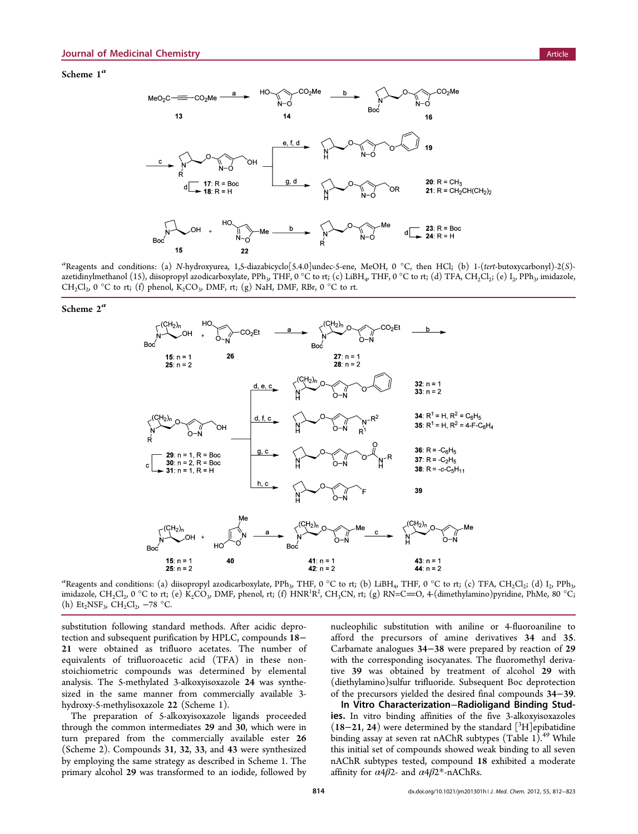<span id="page-4-0"></span>Scheme  $1^a$ 



<sup>a</sup>Reagents and conditions: (a) N-hydroxyurea, 1,5-diazabicyclo[5.4.0]undec-5-ene, MeOH, 0 °C, then HCl; (b) 1-(tert-butoxycarbonyl)-2(S)azetidinylmethanol (15), diisopropyl azodicarboxylate, PPh<sub>3</sub>, THF, 0 °C to rt; (c) LiBH<sub>4</sub>, THF, 0 °C to rt; (d) TFA, CH<sub>2</sub>Cl<sub>2</sub>; (e) I<sub>2</sub>, PPh<sub>3</sub>, imidazole,  $CH_2Cl_2$ , 0 °C to rt; (f) phenol,  $K_2CO_3$ , DMF, rt; (g) NaH, DMF, RBr, 0 °C to rt.

Scheme  $2^a$ 



<sup>a</sup>Reagents and conditions: (a) diisopropyl azodicarboxylate, PPh<sub>3</sub>, THF, 0 °C to rt; (b) LiBH<sub>4</sub>, THF, 0 °C to rt; (c) TFA, CH<sub>2</sub>Cl<sub>2</sub>; (d) I<sub>2</sub>, PPh<sub>3</sub>, imidazole, CH<sub>2</sub>Cl<sub>2</sub>, 0 °C to rt; (e) K<sub>2</sub>CO<sub>3</sub>, DMF, phenol, rt; (f) HNR<sup>1</sup>R<sup>2</sup>, CH<sub>3</sub>CN, rt; (g) RN=C=O, 4-(dimethylamino)pyridine, PhMe, 80 °C; (h)  $Et_2NSF_3$ ,  $CH_2Cl_2$ ,  $-78$  °C.

substitution following standard methods. After acidic deprotection and subsequent purification by HPLC, compounds 18− 21 were obtained as trifluoro acetates. The number of equivalents of trifluoroacetic acid (TFA) in these nonstoichiometric compounds was determined by elemental analysis. The 5-methylated 3-alkoxyisoxazole 24 was synthesized in the same manner from commercially available 3 hydroxy-5-methylisoxazole 22 (Scheme 1).

The preparation of 5-alkoxyisoxazole ligands proceeded through the common intermediates 29 and 30, which were in turn prepared from the commercially available ester 26 (Scheme 2). Compounds 31, 32, 33, and 43 were synthesized by employing the same strategy as described in Scheme 1. The primary alcohol 29 was transformed to an iodide, followed by nucleophilic substitution with aniline or 4-fluoroaniline to afford the precursors of amine derivatives 34 and 35. Carbamate analogues 34−38 were prepared by reaction of 29 with the corresponding isocyanates. The fluoromethyl derivative 39 was obtained by treatment of alcohol 29 with (diethylamino)sulfur trifluoride. Subsequent Boc deprotection of the precursors yielded the desired final compounds 34−39.

In Vitro Characterization−Radioligand Binding Studies. In vitro binding affinities of the five 3-alkoxyisoxazoles (18-21, 24) were determined by the standard [<sup>3</sup>H]epibatidine binding assay at seven rat nAChR subtypes (Table [1](#page-5-0)).<sup>[49](#page-13-0)</sup> While this initial set of compounds showed weak binding to all seven nAChR subtypes tested, compound 18 exhibited a moderate affinity for  $\alpha$ 4β2- and  $\alpha$ 4β2\*-nAChRs.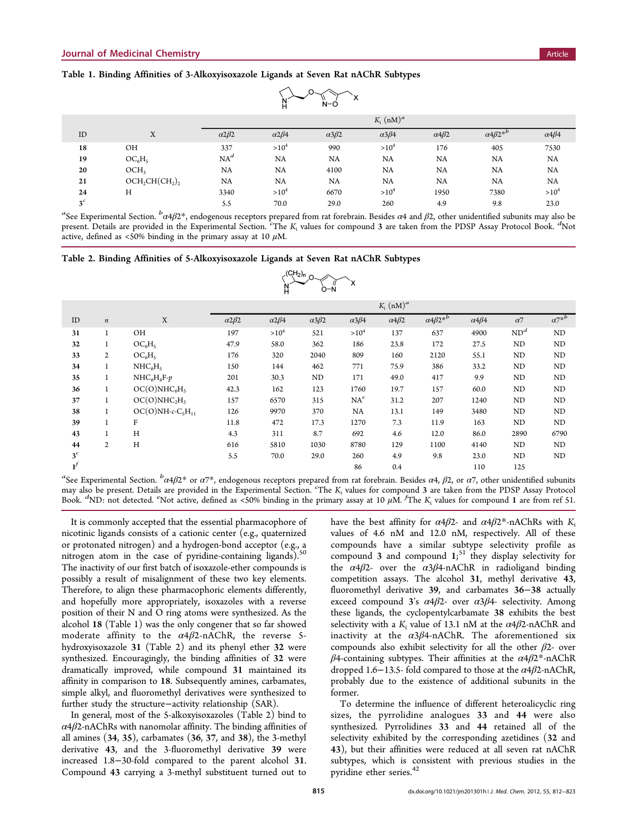# <span id="page-5-0"></span>Table 1. Binding Affinities of 3-Alkoxyisoxazole Ligands at Seven Rat nAChR Subtypes

| N-Ò<br>н       |                   |                      |                         |                   |                      |                      |                                   |                      |  |
|----------------|-------------------|----------------------|-------------------------|-------------------|----------------------|----------------------|-----------------------------------|----------------------|--|
|                |                   |                      | $K_i$ (nM) <sup>a</sup> |                   |                      |                      |                                   |                      |  |
| ID             | X                 | $\alpha$ 2 $\beta$ 2 | $\alpha$ 2 $\beta$ 4    | $\alpha 3\beta 2$ | $\alpha$ 3 $\beta$ 4 | $\alpha$ 4 $\beta$ 2 | $\alpha$ 4 $\beta$ 2 <sup>*</sup> | $\alpha$ 4 $\beta$ 4 |  |
| 18             | OH                | 337                  | $>10^4$                 | 990               | $>10^4$              | 176                  | 405                               | 7530                 |  |
| 19             | $OC_6H_5$         | $NA^d$               | NA                      | NA                | NA                   | NA                   | NA                                | NA                   |  |
| 20             | OCH <sub>3</sub>  | NA                   | NA                      | 4100              | NA                   | NA                   | NA                                | NA                   |  |
| 21             | $OCH_2CH(CH_2)_2$ | NA                   | NA                      | NA                | NA                   | NA                   | NA                                | NA                   |  |
| 24             | H                 | 3340                 | $>10^4$                 | 6670              | $>10^4$              | 1950                 | 7380                              | $>10^4$              |  |
| 3 <sup>c</sup> |                   | 5.5                  | 70.0                    | 29.0              | 260                  | 4.9                  | 9.8                               | 23.0                 |  |

a<br>See [Experimental Section](#page-8-0).  ${}^b\alpha4\beta2{}^*$ , endogenous receptors prepared from rat forebrain. Besides α4 and  $\beta$ 2, other unidentified subunits may also be present. Details are provided in the [Experimental Section.](#page-8-0) <sup>c</sup>The K<sub>i</sub> values for compound 3 are taken from the PDSP Assay Protocol Book. <sup>d</sup>Not active, defined as <50% binding in the primary assay at 10  $\mu$ M.

#### Table 2. Binding Affinities of 5-Alkoxyisoxazole Ligands at Seven Rat nAChR Subtypes

$$
\times \overset{(CH_2)_n}{\underset{D-N}{\bigwedge}} \circ \underset{O-N}{\overset{M}{\longrightarrow}} x
$$

|                |                  |                                      |                      |                      |                   |                      | $K_i$ (nM) <sup>a</sup> |                        |                      |                 |           |
|----------------|------------------|--------------------------------------|----------------------|----------------------|-------------------|----------------------|-------------------------|------------------------|----------------------|-----------------|-----------|
| ID             | $\boldsymbol{n}$ | X                                    | $\alpha$ 2 $\beta$ 2 | $\alpha$ 2 $\beta$ 4 | $\alpha 3\beta 2$ | $\alpha$ 3 $\beta$ 4 | $\alpha$ 4 $\beta$ 2    | $\alpha 4\beta 2^{*b}$ | $\alpha$ 4 $\beta$ 4 | $\alpha$ 7      | $a7^{*b}$ |
| 31             |                  | <b>OH</b>                            | 197                  | $>10^4$              | 521               | $>10^4$              | 137                     | 637                    | 4900                 | ND <sup>d</sup> | ND        |
| 32             | Τ.               | OC <sub>6</sub> H <sub>5</sub>       | 47.9                 | 58.0                 | 362               | 186                  | 23.8                    | 172                    | 27.5                 | ND              | ND        |
| 33             | 2                | OC <sub>6</sub> H <sub>5</sub>       | 176                  | 320                  | 2040              | 809                  | 160                     | 2120                   | 55.1                 | ND              | ND        |
| 34             | $\mathbf{I}$     | NHC <sub>6</sub> H <sub>5</sub>      | 150                  | 144                  | 462               | 771                  | 75.9                    | 386                    | 33.2                 | ND              | ND        |
| 35             | $\mathbf{I}$     | $NHC6H4F-p$                          | 201                  | 30.3                 | ND                | 171                  | 49.0                    | 417                    | 9.9                  | ND              | ND        |
| 36             | $\mathbf{1}$     | OC(O)NHC <sub>6</sub> H <sub>5</sub> | 42.3                 | 162                  | 123               | 1760                 | 19.7                    | 157                    | 60.0                 | ND              | ND        |
| 37             | $\mathbf{I}$     | OC(O)NHC <sub>2</sub> H <sub>s</sub> | 157                  | 6570                 | 315               | $NA^e$               | 31.2                    | 207                    | 1240                 | ND              | ND        |
| 38             |                  | $OC(O)NH-c-C5H11$                    | 126                  | 9970                 | 370               | NA                   | 13.1                    | 149                    | 3480                 | ND              | ND        |
| 39             |                  | F                                    | 11.8                 | 472                  | 17.3              | 1270                 | 7.3                     | 11.9                   | 163                  | ND              | ND        |
| 43             |                  | H                                    | 4.3                  | 311                  | 8.7               | 692                  | 4.6                     | 12.0                   | 86.0                 | 2890            | 6790      |
| 44             | $\overline{2}$   | H                                    | 616                  | 5810                 | 1030              | 8780                 | 129                     | 1100                   | 4140                 | ND              | ND        |
| 3 <sup>c</sup> |                  |                                      | 5.5                  | 70.0                 | 29.0              | 260                  | 4.9                     | 9.8                    | 23.0                 | ND              | ND        |
| $\mathbf{r}^f$ |                  |                                      |                      |                      |                   | 86                   | 0.4                     |                        | 110                  | 125             |           |

<sup>a</sup>See [Experimental Section](#page-8-0).  ${}^b\alpha 4\beta 2^*$  or α7\*, endogenous receptors prepared from rat forebrain. Besides α4,  $\beta$ 2, or α7, other unidentified subunits may also be present. Details are provided in the [Experimental Section.](#page-8-0) "The K<sub>i</sub> values for compound 3 are taken from the PDSP Assay Protocol Book.  ${}^{d}$ ND: not detected.  ${}^{e}$ Not active, defined as <50% binding in the primary assay at 10  $\mu$ M.  ${}^{f}$ The  $K_i$  values for compound 1 are from ref [51.](#page-13-0)

It is commonly accepted that the essential pharmacophore of nicotinic ligands consists of a cationic center (e.g., quaternized or protonated nitrogen) and a hydrogen-bond acceptor (e.g., a nitrogen atom in the case of pyridine-containing ligands).<sup>[50](#page-13-0)</sup> The inactivity of our first batch of isoxazole-ether compounds is possibly a result of misalignment of these two key elements. Therefore, to align these pharmacophoric elements differently, and hopefully more appropriately, isoxazoles with a reverse position of their N and O ring atoms were synthesized. As the alcohol 18 (Table 1) was the only congener that so far showed moderate affinity to the  $\alpha$ 4 $\beta$ 2-nAChR, the reverse 5hydroxyisoxazole 31 (Table 2) and its phenyl ether 32 were synthesized. Encouragingly, the binding affinities of 32 were dramatically improved, while compound 31 maintained its affinity in comparison to 18. Subsequently amines, carbamates, simple alkyl, and fluoromethyl derivatives were synthesized to further study the structure−activity relationship (SAR).

In general, most of the 5-alkoxyisoxazoles (Table 2) bind to  $\alpha$ 4 $\beta$ 2-nAChRs with nanomolar affinity. The binding affinities of all amines (34, 35), carbamates (36, 37, and 38), the 3-methyl derivative 43, and the 3-fluoromethyl derivative 39 were increased 1.8−30-fold compared to the parent alcohol 31. Compound 43 carrying a 3-methyl substituent turned out to

have the best affinity for  $\alpha$ 4 $\beta$ 2- and  $\alpha$ 4 $\beta$ 2\*-nAChRs with K<sub>i</sub> values of 4.6 nM and 12.0 nM, respectively. All of these compounds have a similar subtype selectivity profile as compound 3 and compound  $1$ <sup>[51](#page-13-0)</sup> they display selectivity for the  $\alpha$ 4 $\beta$ 2- over the  $\alpha$ 3 $\beta$ 4-nAChR in radioligand binding competition assays. The alcohol 31, methyl derivative 43, fluoromethyl derivative 39, and carbamates 36−38 actually exceed compound 3's  $\alpha$ 4 $\beta$ 2- over  $\alpha$ 3 $\beta$ 4- selectivity. Among these ligands, the cyclopentylcarbamate 38 exhibits the best selectivity with a  $K_i$  value of 13.1 nM at the  $\alpha$ 4 $\beta$ 2-nAChR and inactivity at the  $\alpha 3\beta 4$ -nAChR. The aforementioned six compounds also exhibit selectivity for all the other  $\beta$ 2- over  $β$ 4-containing subtypes. Their affinities at the  $α$ 4 $β$ 2\*-nAChR dropped 1.6−13.5- fold compared to those at the  $\alpha$ 4 $\beta$ 2-nAChR, probably due to the existence of additional subunits in the former.

To determine the influence of different heteroalicyclic ring sizes, the pyrrolidine analogues 33 and 44 were also synthesized. Pyrrolidines 33 and 44 retained all of the selectivity exhibited by the corresponding azetidines (32 and 43), but their affinities were reduced at all seven rat nAChR subtypes, which is consistent with previous studies in the pyridine ether series.<sup>[42](#page-13-0)</sup>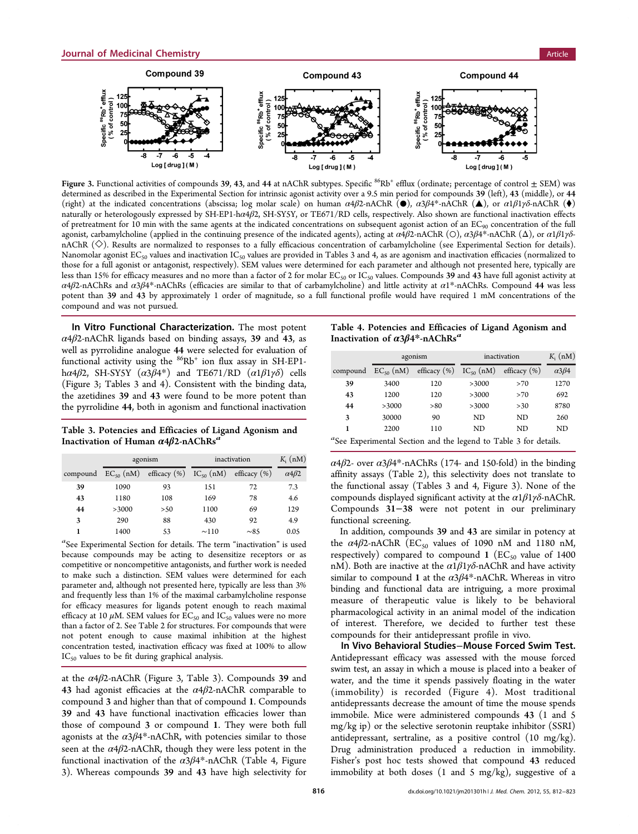

Figure 3. Functional activities of compounds 39, 43, and 44 at nAChR subtypes. Specific <sup>86</sup>Rb<sup>+</sup> efflux (ordinate; percentage of control  $\pm$  SEM) was determined as described in the [Experimental Section](#page-8-0) for intrinsic agonist activity over a 9.5 min period for compounds 39 (left), 43 (middle), or 44 (right) at the indicated concentrations (abscissa; log molar scale) on human  $\alpha 4\beta 2$ -nAChR  $(\bullet)$ ,  $\alpha 3\beta 4^*$ -nAChR  $(\bullet)$ , or  $\alpha 1\beta 1\gamma\delta$ -nAChR  $(\bullet)$ naturally or heterologously expressed by SH-EP1-hα4β2, SH-SY5Y, or TE671/RD cells, respectively. Also shown are functional inactivation effects of pretreatment for 10 min with the same agents at the indicated concentrations on subsequent agonist action of an EC<sub>90</sub> concentration of the full agonist, carbamylcholine (applied in the continuing presence of the indicated agents), acting at  $\alpha$ 4β2-nAChR (Ο),  $\alpha$ 3β4\*-nAChR (Δ), or  $\alpha$ 1β1γδnAChR (◇). Results are normalized to responses to a fully efficacious concentration of carbamylcholine (see [Experimental Section](#page-8-0) for details). Nanomolar agonist  $EC_{50}$  values and inactivation  $IC_{50}$  values are provided in Tables 3 and 4, as are agonism and inactivation efficacies (normalized to those for a full agonist or antagonist, respectively). SEM values were determined for each parameter and although not presented here, typically are less than 15% for efficacy measures and no more than a factor of 2 for molar  $EC_{50}$  or  $IC_{50}$  values. Compounds 39 and 43 have full agonist activity at α4β2-nAChRs and α3β4\*-nAChRs (efficacies are similar to that of carbamylcholine) and little activity at  $a1*$ -nAChRs. Compound 44 was less potent than 39 and 43 by approximately 1 order of magnitude, so a full functional profile would have required 1 mM concentrations of the compound and was not pursued.

In Vitro Functional Characterization. The most potent  $\alpha$ 4 $\beta$ 2-nAChR ligands based on binding assays, 39 and 43, as well as pyrrolidine analogue 44 were selected for evaluation of functional activity using the  $86Rb$ <sup>+</sup> ion flux assay in SH-EP1h $\alpha$ 4 $\beta$ 2, SH-SYSY ( $\alpha$ 3 $\beta$ 4\*) and TE671/RD ( $\alpha$ 1 $\beta$ 1 $\gamma$  $\delta$ ) cells (Figure 3; Tables 3 and 4). Consistent with the binding data, the azetidines 39 and 43 were found to be more potent than the pyrrolidine 44, both in agonism and functional inactivation

Table 3. Potencies and Efficacies of Ligand Agonism and Inactivation of Human  $\alpha$ 4β2-nAChRs<sup>a</sup>

|          |                | agonism                               | inactivation | $K_i$ (nM)      |                      |
|----------|----------------|---------------------------------------|--------------|-----------------|----------------------|
| compound | $EC_{50}$ (nM) | efficacy $(\%)$ IC <sub>50</sub> (nM) |              | efficacy $(\%)$ | $\alpha$ 4 $\beta$ 2 |
| 39       | 1090           | 93                                    | 151          | 72              | 7.3                  |
| 43       | 1180           | 108                                   | 169          | 78              | 4.6                  |
| 44       | >3000          | >50                                   | 1100         | 69              | 129                  |
| 3        | 290            | 88                                    | 430          | 92              | 4.9                  |
| 1        | 1400           | 53                                    | $\sim$ 110   | $\sim$ 85       | 0.05                 |

a See [Experimental Section](#page-8-0) for details. The term "inactivation" is used because compounds may be acting to desensitize receptors or as competitive or noncompetitive antagonists, and further work is needed to make such a distinction. SEM values were determined for each parameter and, although not presented here, typically are less than 3% and frequently less than 1% of the maximal carbamylcholine response for efficacy measures for ligands potent enough to reach maximal efficacy at 10  $\mu$ M. SEM values for EC<sub>50</sub> and IC<sub>50</sub> values were no more than a factor of 2. See Table [2](#page-5-0) for structures. For compounds that were not potent enough to cause maximal inhibition at the highest concentration tested, inactivation efficacy was fixed at 100% to allow  $IC_{50}$  values to be fit during graphical analysis.

at the  $\alpha$ 4 $\beta$ 2-nAChR (Figure 3, Table 3). Compounds 39 and 43 had agonist efficacies at the  $\alpha$ 4 $\beta$ 2-nAChR comparable to compound 3 and higher than that of compound 1. Compounds 39 and 43 have functional inactivation efficacies lower than those of compound 3 or compound 1. They were both full agonists at the  $\alpha$ 3 $\beta$ 4<sup>\*</sup>-nAChR, with potencies similar to those seen at the  $\alpha$ 4 $\beta$ 2-nAChR, though they were less potent in the functional inactivation of the  $\alpha$ 3 $\beta$ 4\*-nAChR (Table 4, Figure 3). Whereas compounds 39 and 43 have high selectivity for

Table 4. Potencies and Efficacies of Ligand Agonism and Inactivation of  $\alpha$ 3 $\beta$ 4\*-nAChRs<sup>a</sup>

|                                                                                          |                | agonism          | inactivation   | $K_i$ (nM)       |                      |  |  |  |
|------------------------------------------------------------------------------------------|----------------|------------------|----------------|------------------|----------------------|--|--|--|
| compound                                                                                 | $EC_{50}$ (nM) | efficacy $(\% )$ | $IC_{50}$ (nM) | efficacy $(\% )$ | $\alpha$ 3 $\beta$ 4 |  |  |  |
| 39                                                                                       | 3400           | 120              | >3000          | >70              | 1270                 |  |  |  |
| 43                                                                                       | 1200           | 120              | >3000          | >70              | 692                  |  |  |  |
| 44                                                                                       | >3000          | > 80             | >3000          | >30              | 8780                 |  |  |  |
| 3                                                                                        | 30000          | 90               | ND.            | ND               | 260                  |  |  |  |
| 1                                                                                        | 2200           | 110              | ND             | ND               | ND                   |  |  |  |
| $a_{\mathcal{C}}$ . From the contribution of the learn late Table $\alpha$ from latellar |                |                  |                |                  |                      |  |  |  |

a See [Experimental Section](#page-8-0) and the legend to Table 3 for details.

α4β2- over α3β4\*-nAChRs (174- and 150-fold) in the binding affinity assays (Table [2\)](#page-5-0), this selectivity does not translate to the functional assay (Tables 3 and 4, Figure 3). None of the compounds displayed significant activity at the  $\alpha$ 1 $\beta$ 1 $\gamma$ δ-nAChR. Compounds 31−38 were not potent in our preliminary functional screening.

In addition, compounds 39 and 43 are similar in potency at the  $\alpha$ 4 $\beta$ 2-nAChR (EC<sub>50</sub> values of 1090 nM and 1180 nM, respectively) compared to compound 1 ( $EC_{50}$  value of 1400 nM). Both are inactive at the  $\alpha$ 1 $\beta$ 1 $\gamma$ δ-nAChR and have activity similar to compound 1 at the  $\alpha$ 3 $\beta$ 4\*-nAChR. Whereas in vitro binding and functional data are intriguing, a more proximal measure of therapeutic value is likely to be behavioral pharmacological activity in an animal model of the indication of interest. Therefore, we decided to further test these compounds for their antidepressant profile in vivo.

In Vivo Behavioral Studies−Mouse Forced Swim Test. Antidepressant efficacy was assessed with the mouse forced swim test, an assay in which a mouse is placed into a beaker of water, and the time it spends passively floating in the water (immobility) is recorded (Figure [4\)](#page-7-0). Most traditional antidepressants decrease the amount of time the mouse spends immobile. Mice were administered compounds 43 (1 and 5 mg/kg ip) or the selective serotonin reuptake inhibitor (SSRI) antidepressant, sertraline, as a positive control (10 mg/kg). Drug administration produced a reduction in immobility. Fisher's post hoc tests showed that compound 43 reduced immobility at both doses (1 and 5 mg/kg), suggestive of a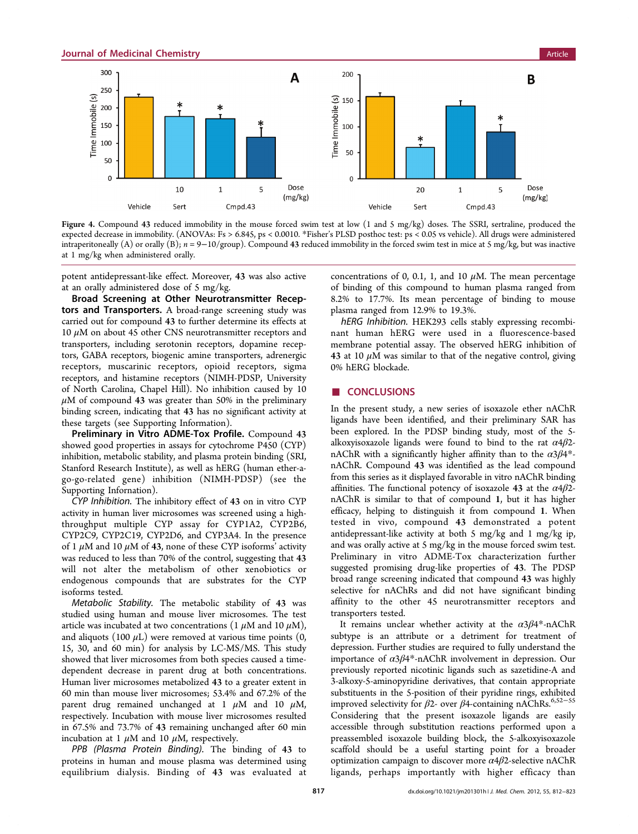<span id="page-7-0"></span>

Figure 4. Compound 43 reduced immobility in the mouse forced swim test at low (1 and 5 mg/kg) doses. The SSRI, sertraline, produced the expected decrease in immobility. (ANOVAs: Fs > 6.845, ps < 0.0010. \*Fisher's PLSD posthoc test: ps < 0.05 vs vehicle). All drugs were administered intraperitoneally (A) or orally (B);  $n = 9-10/$ group). Compound 43 reduced immobility in the forced swim test in mice at 5 mg/kg, but was inactive at 1 mg/kg when administered orally.

potent antidepressant-like effect. Moreover, 43 was also active at an orally administered dose of 5 mg/kg.

Broad Screening at Other Neurotransmitter Receptors and Transporters. A broad-range screening study was carried out for compound 43 to further determine its effects at 10  $μ$ M on about 45 other CNS neurotransmitter receptors and transporters, including serotonin receptors, dopamine receptors, GABA receptors, biogenic amine transporters, adrenergic receptors, muscarinic receptors, opioid receptors, sigma receptors, and histamine receptors (NIMH-PDSP, University of North Carolina, Chapel Hill). No inhibition caused by 10  $\mu$ M of compound 43 was greater than 50% in the preliminary binding screen, indicating that 43 has no significant activity at these targets (see [Supporting Information\)](#page-11-0).

Preliminary in Vitro ADME-Tox Profile. Compound 43 showed good properties in assays for cytochrome P450 (CYP) inhibition, metabolic stability, and plasma protein binding (SRI, Stanford Research Institute), as well as hERG (human ether-ago-go-related gene) inhibition (NIMH-PDSP) (see the [Supporting Infornation\)](#page-11-0).

CYP Inhibition. The inhibitory effect of 43 on in vitro CYP activity in human liver microsomes was screened using a highthroughput multiple CYP assay for CYP1A2, CYP2B6, CYP2C9, CYP2C19, CYP2D6, and CYP3A4. In the presence of 1  $\mu$ M and 10  $\mu$ M of 43, none of these CYP isoforms' activity was reduced to less than 70% of the control, suggesting that 43 will not alter the metabolism of other xenobiotics or endogenous compounds that are substrates for the CYP isoforms tested.

Metabolic Stability. The metabolic stability of 43 was studied using human and mouse liver microsomes. The test article was incubated at two concentrations (1  $\mu$ M and 10  $\mu$ M), and aliquots (100  $\mu$ L) were removed at various time points (0, 15, 30, and 60 min) for analysis by LC-MS/MS. This study showed that liver microsomes from both species caused a timedependent decrease in parent drug at both concentrations. Human liver microsomes metabolized 43 to a greater extent in 60 min than mouse liver microsomes; 53.4% and 67.2% of the parent drug remained unchanged at 1  $\mu$ M and 10  $\mu$ M, respectively. Incubation with mouse liver microsomes resulted in 67.5% and 73.7% of 43 remaining unchanged after 60 min incubation at 1  $\mu$ M and 10  $\mu$ M, respectively.

PPB (Plasma Protein Binding). The binding of 43 to proteins in human and mouse plasma was determined using equilibrium dialysis. Binding of 43 was evaluated at

concentrations of 0, 0.1, 1, and 10  $\mu$ M. The mean percentage of binding of this compound to human plasma ranged from 8.2% to 17.7%. Its mean percentage of binding to mouse plasma ranged from 12.9% to 19.3%.

hERG Inhibition. HEK293 cells stably expressing recombinant human hERG were used in a fluorescence-based membrane potential assay. The observed hERG inhibition of 43 at 10  $\mu$ M was similar to that of the negative control, giving 0% hERG blockade.

# ■ **CONCLUSIONS**

In the present study, a new series of isoxazole ether nAChR ligands have been identified, and their preliminary SAR has been explored. In the PDSP binding study, most of the 5 alkoxyisoxazole ligands were found to bind to the rat  $\alpha$ 4 $\beta$ 2nAChR with a significantly higher affinity than to the  $\alpha$ 3 $\beta$ 4\*nAChR. Compound 43 was identified as the lead compound from this series as it displayed favorable in vitro nAChR binding affinities. The functional potency of isoxazole 43 at the  $\alpha$ 4 $\beta$ 2nAChR is similar to that of compound 1, but it has higher efficacy, helping to distinguish it from compound 1. When tested in vivo, compound 43 demonstrated a potent antidepressant-like activity at both 5 mg/kg and 1 mg/kg ip, and was orally active at 5 mg/kg in the mouse forced swim test. Preliminary in vitro ADME-Tox characterization further suggested promising drug-like properties of 43. The PDSP broad range screening indicated that compound 43 was highly selective for nAChRs and did not have significant binding affinity to the other 45 neurotransmitter receptors and transporters tested.

It remains unclear whether activity at the  $\alpha$ 3 $\beta$ 4\*-nAChR subtype is an attribute or a detriment for treatment of depression. Further studies are required to fully understand the importance of α3β4\*-nAChR involvement in depression. Our previously reported nicotinic ligands such as sazetidine-A and 3-alkoxy-5-aminopyridine derivatives, that contain appropriate substituents in the 5-position of their pyridine rings, exhibited improved selectivity for  $\beta$ 2- over  $\beta$ 4-containing nAChRs.<sup>[6](#page-11-0)[,52](#page-13-0)-[55](#page-13-0)</sup> Considering that the present isoxazole ligands are easily accessible through substitution reactions performed upon a preassembled isoxazole building block, the 5-alkoxyisoxazole scaffold should be a useful starting point for a broader optimization campaign to discover more  $\alpha$ 4 $\beta$ 2-selective nAChR ligands, perhaps importantly with higher efficacy than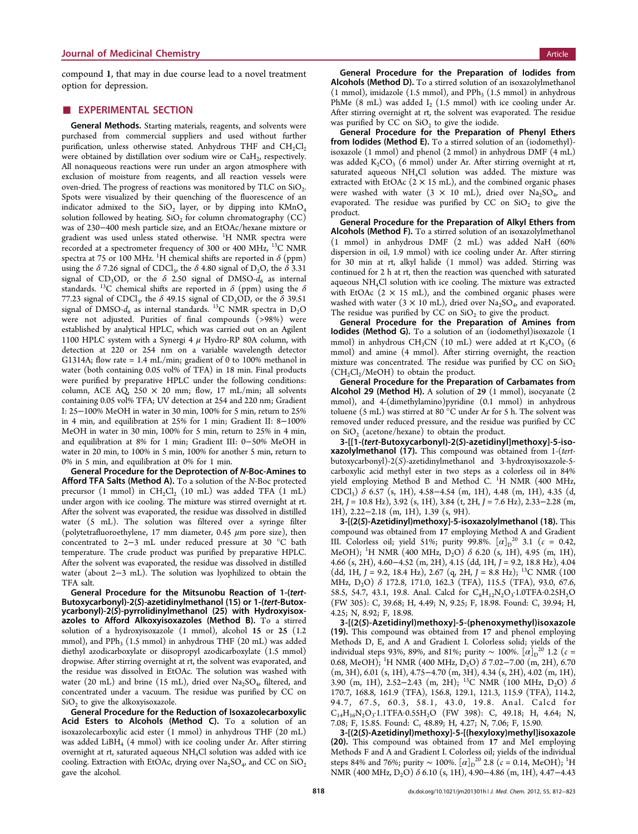<span id="page-8-0"></span>compound 1, that may in due course lead to a novel treatment option for depression.

# **EXPERIMENTAL SECTION**

General Methods. Starting materials, reagents, and solvents were purchased from commercial suppliers and used without further purification, unless otherwise stated. Anhydrous THF and  $CH_2Cl_2$ were obtained by distillation over sodium wire or  $CaH<sub>2</sub>$ , respectively. All nonaqueous reactions were run under an argon atmosphere with exclusion of moisture from reagents, and all reaction vessels were oven-dried. The progress of reactions was monitored by TLC on  $SiO<sub>2</sub>$ . Spots were visualized by their quenching of the fluorescence of an indicator admixed to the  $SiO<sub>2</sub>$  layer, or by dipping into  $KMnO<sub>4</sub>$ solution followed by heating.  $SiO<sub>2</sub>$  for column chromatography (CC) was of 230−400 mesh particle size, and an EtOAc/hexane mixture or gradient was used unless stated otherwise. <sup>1</sup>H NMR spectra were recorded at a spectrometer frequency of 300 or 400 MHz, 13C NMR spectra at 75 or 100 MHz.  $^1\mathrm{H}$  chemical shifts are reported in  $\delta$  (ppm) using the  $\delta$  7.26 signal of CDCl<sub>3</sub>, the  $\delta$  4.80 signal of D<sub>2</sub>O, the  $\delta$  3.31 signal of CD<sub>3</sub>OD, or the  $\delta$  2.50 signal of DMSO- $d_6$  as internal standards. <sup>13</sup>C chemical shifts are reported in  $\delta$  (ppm) using the  $\delta$ 77.23 signal of CDCl<sub>3</sub>, the  $\delta$  49.15 signal of CD<sub>3</sub>OD, or the  $\delta$  39.51 signal of DMSO- $d_6$  as internal standards. <sup>13</sup>C NMR spectra in D<sub>2</sub>O were not adjusted. Purities of final compounds (>98%) were established by analytical HPLC, which was carried out on an Agilent 1100 HPLC system with a Synergi 4  $\mu$  Hydro-RP 80A column, with detection at 220 or 254 nm on a variable wavelength detector G1314A; flow rate = 1.4 mL/min; gradient of 0 to 100% methanol in water (both containing 0.05 vol% of TFA) in 18 min. Final products were purified by preparative HPLC under the following conditions: column, ACE AQ,  $250 \times 20$  mm; flow, 17 mL/min; all solvents containing 0.05 vol% TFA; UV detection at 254 and 220 nm; Gradient I: 25−100% MeOH in water in 30 min, 100% for 5 min, return to 25% in 4 min, and equilibration at 25% for 1 min; Gradient II: 8−100% MeOH in water in 30 min, 100% for 5 min, return to 25% in 4 min, and equilibration at 8% for 1 min; Gradient III: 0−50% MeOH in water in 20 min, to 100% in 5 min, 100% for another 5 min, return to 0% in 5 min, and equilibration at 0% for 1 min.

General Procedure for the Deprotection of N-Boc-Amines to Afford TFA Salts (Method A). To a solution of the N-Boc protected precursor (1 mmol) in  $CH_2Cl_2$  (10 mL) was added TFA (1 mL) under argon with ice cooling. The mixture was stirred overnight at rt. After the solvent was evaporated, the residue was dissolved in distilled water (5 mL). The solution was filtered over a syringe filter (polytetrafluoroethylene, 17 mm diameter, 0.45  $\mu$ m pore size), then concentrated to 2−3 mL under reduced pressure at 30 °C bath temperature. The crude product was purified by preparative HPLC. After the solvent was evaporated, the residue was dissolved in distilled water (about 2−3 mL). The solution was lyophilized to obtain the TFA salt.

General Procedure for the Mitsunobu Reaction of 1-(tert-Butoxycarbonyl)-2(S)-azetidinylmethanol (15) or 1-(tert-Butoxycarbonyl)-2(S)-pyrrolidinylmethanol (25) with Hydroxyisoxazoles to Afford Alkoxyisoxazoles (Method B). To a stirred solution of a hydroxyisoxazole (1 mmol), alcohol 15 or 25 (1.2 mmol), and  $PPh_3$  (1.5 mmol) in anhydrous THF (20 mL) was added diethyl azodicarboxylate or diisopropyl azodicarboxylate (1.5 mmol) dropwise. After stirring overnight at rt, the solvent was evaporated, and the residue was dissolved in EtOAc. The solution was washed with water (20 mL) and brine (15 mL), dried over  $\text{Na}_2\text{SO}_4$ , filtered, and concentrated under a vacuum. The residue was purified by CC on  $SiO<sub>2</sub>$  to give the alkoxyisoxazole.

General Procedure for the Reduction of Isoxazolecarboxylic Acid Esters to Alcohols (Method C). To a solution of an isoxazolecarboxylic acid ester (1 mmol) in anhydrous THF (20 mL) was added LiBH<sub>4</sub> (4 mmol) with ice cooling under Ar. After stirring overnight at rt, saturated aqueous NH<sub>4</sub>Cl solution was added with ice cooling. Extraction with EtOAc, drying over  $Na<sub>2</sub>SO<sub>4</sub>$ , and CC on  $SiO<sub>2</sub>$ gave the alcohol.

General Procedure for the Preparation of Iodides from Alcohols (Method D). To a stirred solution of an isoxazolylmethanol  $(1 \text{ mmol})$ , imidazole  $(1.5 \text{ mmol})$ , and PPh<sub>3</sub>  $(1.5 \text{ mmol})$  in anhydrous PhMe  $(8 \text{ mL})$  was added I<sub>2</sub> (1.5 mmol) with ice cooling under Ar. After stirring overnight at rt, the solvent was evaporated. The residue was purified by  $CC$  on  $SiO<sub>2</sub>$  to give the iodide.

General Procedure for the Preparation of Phenyl Ethers from Iodides (Method E). To a stirred solution of an (iodomethyl) isoxazole (1 mmol) and phenol (2 mmol) in anhydrous DMF (4 mL) was added  $K_2CO_3$  (6 mmol) under Ar. After stirring overnight at rt, saturated aqueous NH4Cl solution was added. The mixture was extracted with EtOAc  $(2 \times 15 \text{ mL})$ , and the combined organic phases were washed with water  $(3 \times 10 \text{ mL})$ , dried over  $\text{Na}_2\text{SO}_4$ , and evaporated. The residue was purified by CC on  $SiO<sub>2</sub>$  to give the product.

General Procedure for the Preparation of Alkyl Ethers from Alcohols (Method F). To a stirred solution of an isoxazolylmethanol (1 mmol) in anhydrous DMF (2 mL) was added NaH (60% dispersion in oil, 1.9 mmol) with ice cooling under Ar. After stirring for 30 min at rt, alkyl halide (1 mmol) was added. Stirring was continued for 2 h at rt, then the reaction was quenched with saturated aqueous NH4Cl solution with ice cooling. The mixture was extracted with EtOAc  $(2 \times 15 \text{ mL})$ , and the combined organic phases were washed with water  $(3 \times 10 \text{ mL})$ , dried over Na<sub>2</sub>SO<sub>4</sub>, and evaporated. The residue was purified by CC on  $SiO<sub>2</sub>$  to give the product.

General Procedure for the Preparation of Amines from Iodides (Method G). To a solution of an (iodomethyl)isoxazole (1 mmol) in anhydrous CH<sub>3</sub>CN (10 mL) were added at rt  $K_2CO_3$  (6 mmol) and amine (4 mmol). After stirring overnight, the reaction mixture was concentrated. The residue was purified by CC on  $SiO<sub>2</sub>$  $(CH<sub>2</sub>Cl<sub>2</sub>/MeOH)$  to obtain the product.

General Procedure for the Preparation of Carbamates from Alcohol 29 (Method H). A solution of 29 (1 mmol), isocyanate (2 mmol), and 4-(dimethylamino)pyridine (0.1 mmol) in anhydrous toluene (5 mL) was stirred at 80 °C under Ar for 5 h. The solvent was removed under reduced pressure, and the residue was purified by CC on SiO<sub>2</sub> (acetone/hexane) to obtain the product.

3-[[1-(tert-Butoxycarbonyl)-2(S)-azetidinyl]methoxy]-5-isoxazolylmethanol (17). This compound was obtained from 1-(tertbutoxycarbonyl)-2(S)-azetidinylmethanol and 3-hydroxyisoxazole-5 carboxylic acid methyl ester in two steps as a colorless oil in 84% yield employing Method B and Method C. <sup>1</sup>H NMR (400 MHz, CDCl<sub>3</sub>)  $\delta$  6.57 (s, 1H), 4.58–4.54 (m, 1H), 4.48 (m, 1H), 4.35 (d,  $2H, J = 10.8$  Hz),  $3.92$  (s, 1H),  $3.84$  (t,  $2H, J = 7.6$  Hz),  $2.33 - 2.28$  (m, 1H), 2.22−2.18 (m, 1H), 1.39 (s, 9H).

3-[(2(S)-Azetidinyl)methoxy]-5-isoxazolylmethanol (18). This compound was obtained from 17 employing Method A and Gradient III. Colorless oil; yield 51%; purity 99.8%.  $[\alpha]_D^{20}$  3.1 ( $c = 0.42$ , MeOH); <sup>1</sup>H NMR (400 MHz, D<sub>2</sub>O)  $\delta$  6.20 (s, 1H), 4.95 (m, 1H), 4.66 (s, 2H), 4.60−4.52 (m, 2H), 4.15 (dd, 1H, J = 9.2, 18.8 Hz), 4.04 (dd, 1H,  $J = 9.2$ , 18.4 Hz), 2.67 (q, 2H,  $J = 8.8$  Hz); <sup>13</sup>C NMR (100) MHz, D<sub>2</sub>O) δ 172.8, 171.0, 162.3 (TFA), 115.5 (TFA), 93.0, 67.6, 58.5, 54.7, 43.1, 19.8. Anal. Calcd for  $C_8H_{12}N_2O_3$ .1.0TFA·0.25H<sub>2</sub>O (FW 305): C, 39.68; H, 4.49; N, 9.25; F, 18.98. Found: C, 39.94; H, 4.25; N, 8.92; F, 18.98.

3-[(2(S)-Azetidinyl)methoxy]-5-(phenoxymethyl)isoxazole (19). This compound was obtained from 17 and phenol employing Methods D, E, and A and Gradient I. Colorless solid; yields of the individual steps 93%, 89%, and 81%; purity ~ 100%.  $[\alpha]_{D}^{\ 20}$  1.2 ( $c =$ 0.68, MeOH); <sup>1</sup>H NMR (400 MHz, D<sub>2</sub>O)  $\delta$  7.02–7.00 (m, 2H), 6.70 (m, 3H), 6.01 (s, 1H), 4.75−4.70 (m, 3H), 4.34 (s, 2H), 4.02 (m, 1H), 3.90 (m, 1H), 2.52–2.43 (m, 2H); <sup>13</sup>C NMR (100 MHz, D<sub>2</sub>O)  $\delta$ 170.7, 168.8, 161.9 (TFA), 156.8, 129.1, 121.3, 115.9 (TFA), 114.2, 94.7, 67.5, 60.3, 58.1, 43.0, 19.8. Anal. Calcd for  $C_{14}H_{16}N_2O_3.1.1$ TFA·0.55H<sub>2</sub>O (FW 398): C, 49.18; H, 4.64; N, 7.08; F, 15.85. Found: C, 48.89; H, 4.27; N, 7.06; F, 15.90.

3-[(2(S)-Azetidinyl)methoxy]-5-[(hexyloxy)methyl]isoxazole (20). This compound was obtained from 17 and MeI employing Methods F and A and Gradient I. Colorless oil; yields of the individual steps 84% and 76%; purity ~ 100%.  $[\alpha]_{D}^{20}$  2.8 ( $c = 0.14$ , MeOH); <sup>1</sup>H NMR (400 MHz,  $D_2O$ )  $\delta$  6.10 (s, 1H), 4.90–4.86 (m, 1H), 4.47–4.43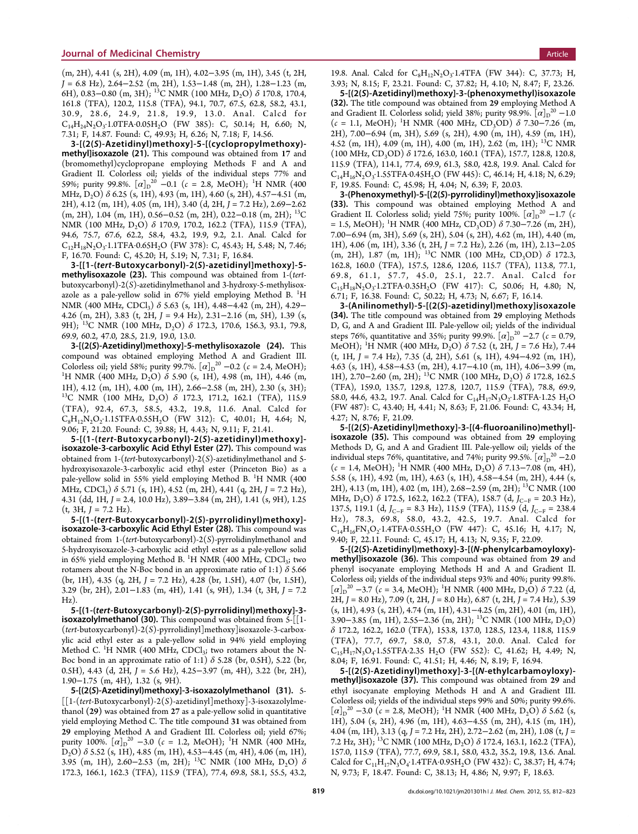(m, 2H), 4.41 (s, 2H), 4.09 (m, 1H), 4.02−3.95 (m, 1H), 3.45 (t, 2H, J = 6.8 Hz), 2.64−2.52 (m, 2H), 1.53−1.48 (m, 2H), 1.28−1.23 (m, 6H), 0.83–0.80 (m, 3H); <sup>13</sup>C NMR (100 MHz, D<sub>2</sub>O)  $\delta$  170.8, 170.4, 161.8 (TFA), 120.2, 115.8 (TFA), 94.1, 70.7, 67.5, 62.8, 58.2, 43.1, 30.9, 28.6, 24.9, 21.8, 19.9, 13.0. Anal. Calcd for  $C_{14}H_{24}N_2O_3$ : 1.0TFA·0.05H<sub>2</sub>O (FW 385): C, 50.14; H, 6.60; N, 7.31; F, 14.87. Found: C, 49.93; H, 6.26; N, 7.18; F, 14.56.

3-[(2(S)-Azetidinyl)methoxy]-5-[(cyclopropylmethoxy) methyl]isoxazole (21). This compound was obtained from 17 and (bromomethyl)cyclopropane employing Methods F and A and Gradient II. Colorless oil; yields of the individual steps 77% and 59%; purity 99.8%.  $[\alpha]_D^{20}$  –0.1 ( $c = 2.8$ , MeOH); <sup>1</sup>H NMR (400 MHz,  $D_2O$ )  $\delta$  6.25 (s, 1H), 4.93 (m, 1H), 4.60 (s, 2H), 4.57–4.51 (m, 2H), 4.12 (m, 1H), 4.05 (m, 1H), 3.40 (d, 2H, J = 7.2 Hz), 2.69−2.62 (m, 2H), 1.04 (m, 1H), 0.56−0.52 (m, 2H), 0.22−0.18 (m, 2H); 13C NMR (100 MHz, D<sub>2</sub>O) δ 170.9, 170.2, 162.2 (TFA), 115.9 (TFA), 94.6, 75.7, 67.6, 62.2, 58.4, 43.2, 19.9, 9.2, 2.1. Anal. Calcd for  $C_{12}H_{18}N_2O_3$ : 1.1TFA·0.65H<sub>2</sub>O (FW 378): C, 45.43; H, 5.48; N, 7.46; F, 16.70. Found: C, 45.20; H, 5.19; N, 7.31; F, 16.84.

3-[[1-(tert-Butoxycarbonyl)-2(S)-azetidinyl]methoxy]-5 methylisoxazole (23). This compound was obtained from 1-(tertbutoxycarbonyl)-2(S)-azetidinylmethanol and 3-hydroxy-5-methylisoxazole as a pale-yellow solid in 67% yield employing Method B.  $^{1}H$ NMR (400 MHz, CDCl<sub>3</sub>)  $\delta$  5.63 (s, 1H), 4.48–4.42 (m, 2H), 4.29– 4.26 (m, 2H), 3.83 (t, 2H, J = 9.4 Hz), 2.31−2.16 (m, 5H), 1.39 (s, 9H); <sup>13</sup>C NMR (100 MHz, D<sub>2</sub>O) δ 172.3, 170.6, 156.3, 93.1, 79.8, 69.9, 60.2, 47.0, 28.5, 21.9, 19.0, 13.0.

3-[(2(S)-Azetidinyl)methoxy]-5-methylisoxazole (24). This compound was obtained employing Method A and Gradient III. Colorless oil; yield 58%; purity 99.7%.  $[\alpha]_{D}^{20}$  –0.2 ( $c = 2.4$ , MeOH); <sup>1</sup>H NMR (400 MHz, D<sub>2</sub>O)  $\delta$  5.90 (s, 1H), 4.98 (m, 1H), 4.46 (m, 1H), 4.12 (m, 1H), 4.00 (m, 1H), 2.66−2.58 (m, 2H), 2.30 (s, 3H); 13C NMR (100 MHz, D2O) <sup>δ</sup> 172.3, 171.2, 162.1 (TFA), 115.9 (TFA), 92.4, 67.3, 58.5, 43.2, 19.8, 11.6. Anal. Calcd for  $C_8H_1N_2O_2$ .1.15TFA.0.55H<sub>2</sub>O (FW 312): C, 40.01; H, 4.64; N, 9.06; F, 21.20. Found: C, 39.88; H, 4.43; N, 9.11; F, 21.41.

5-[(1-(tert-Butoxycarbonyl)-2(S)-azetidinyl)methoxy] isoxazole-3-carboxylic Acid Ethyl Ester (27). This compound was obtained from 1-(tert-butoxycarbonyl)-2(S)-azetidinylmethanol and 5 hydroxyisoxazole-3-carboxylic acid ethyl ester (Princeton Bio) as a pale-yellow solid in 55% yield employing Method B. <sup>1</sup>H NMR (400 MHz, CDCl<sub>3</sub>)  $\delta$  5.71 (s, 1H), 4.52 (m, 2H), 4.41 (q, 2H, J = 7.2 Hz), 4.31 (dd, 1H, J = 2.4, 10.0 Hz), 3.89−3.84 (m, 2H), 1.41 (s, 9H), 1.25  $(t, 3H, J = 7.2 Hz).$ 

5-[(1-(tert-Butoxycarbonyl)-2(S)-pyrrolidinyl)methoxy] isoxazole-3-carboxylic Acid Ethyl Ester (28). This compound was obtained from 1-(tert-butoxycarbonyl)-2(S)-pyrrolidinylmethanol and 5-hydroxyisoxazole-3-carboxylic acid ethyl ester as a pale-yellow solid in 65% yield employing Method B.  $^1$ H NMR (400 MHz, CDCl<sub>3</sub>; two rotamers about the N-Boc bond in an approximate ratio of 1:1)  $\delta$  5.66  $(br, 1H)$ , 4.35  $(q, 2H, J = 7.2 \text{ Hz})$ , 4.28  $(br, 1.5H)$ , 4.07  $(br, 1.5H)$ , 3.29 (br, 2H), 2.01−1.83 (m, 4H), 1.41 (s, 9H), 1.34 (t, 3H, J = 7.2 Hz).

5-[(1-(tert-Butoxycarbonyl)-2(S)-pyrrolidinyl)methoxy]-3 isoxazolylmethanol (30). This compound was obtained from 5-[[1- (tert-butoxycarbonyl)-2(S)-pyrrolidinyl]methoxy]isoxazole-3-carboxylic acid ethyl ester as a pale-yellow solid in 94% yield employing Method C.  $^1$ H NMR (400 MHz, CDCl<sub>3</sub>; two rotamers about the N-Boc bond in an approximate ratio of 1:1)  $\delta$  5.28 (br, 0.5H), 5.22 (br, 0.5H), 4.43 (d, 2H, J = 5.6 Hz), 4.25−3.97 (m, 4H), 3.22 (br, 2H), 1.90−1.75 (m, 4H), 1.32 (s, 9H).

5-[(2(S)-Azetidinyl)methoxy]-3-isoxazolylmethanol (31). 5-  $\left[ \left[ 1-(tert-Butoxycarbonyl)-2(S)-azetidinyl\right] \right]$ methoxy $\left]$ -3-isoxazolylmethanol (29) was obtained from 27 as a pale-yellow solid in quantitative yield employing Method C. The title compound 31 was obtained from 29 employing Method A and Gradient III. Colorless oil; yield 67%; purity 100%.  $[\alpha]_{D}^{20}$  –3.0 ( $c = 1.2$ , MeOH); <sup>1</sup>H NMR (400 MHz, D<sub>2</sub>O)  $\delta$  5.52 (s, 1H), 4.85 (m, 1H), 4.53–4.45 (m, 4H), 4.06 (m, 1H), 3.95 (m, 1H), 2.60−2.53 (m, 2H); <sup>13</sup>C NMR (100 MHz, D<sub>2</sub>O)  $\delta$ 172.3, 166.1, 162.3 (TFA), 115.9 (TFA), 77.4, 69.8, 58.1, 55.5, 43.2,

19.8. Anal. Calcd for C<sub>8</sub>H<sub>12</sub>N<sub>2</sub>O<sub>3</sub>.1.4TFA (FW 344): C, 37.73; H, 3.93; N, 8.15; F, 23.21. Found: C, 37.82; H, 4.10; N, 8.47; F, 23.26.

5-[(2(S)-Azetidinyl)methoxy]-3-(phenoxymethyl)isoxazole (32). The title compound was obtained from 29 employing Method A and Gradient II. Colorless solid; yield 38%; purity 98.9%.  $[\alpha]_D^2$ <sup>0</sup> –1.0  $(c = 1.1, \text{ MeOH})$ ; <sup>1</sup>H NMR (400 MHz, CD<sub>3</sub>OD)  $\delta$  7.30–7.26 (m, 2H), 7.00−6.94 (m, 3H), 5.69 (s, 2H), 4.90 (m, 1H), 4.59 (m, 1H), 4.52 (m, 1H), 4.09 (m, 1H), 4.00 (m, 1H), 2.62 (m, 1H); 13C NMR (100 MHz, CD3OD) δ 172.6, 163.0, 160.1 (TFA), 157.7, 128.8, 120.8, 115.9 (TFA), 114.1, 77.4, 69.9, 61.3, 58.0, 42.8, 19.9. Anal. Calcd for  $C_{14}H_{16}N_2O_3.1.55TFA.0.45H_2O$  (FW 445): C, 46.14; H, 4.18; N, 6.29; F, 19.85. Found: C, 45.98; H, 4.04; N, 6.39; F, 20.03.

3-(Phenoxymethyl)-5-[(2(S)-pyrrolidinyl)methoxy]isoxazole (33). This compound was obtained employing Method A and Gradient II. Colorless solid; yield 75%; purity 100%.  $[\alpha]_{D}^{20}$  –1.7 (c  $= 1.5$ , MeOH); <sup>1</sup>H NMR (400 MHz, CD<sub>3</sub>OD)  $\delta$  7.30–7.26 (m, 2H), 7.00−6.94 (m, 3H), 5.69 (s, 2H), 5.04 (s, 2H), 4.62 (m, 1H), 4.40 (m, 1H), 4.06 (m, 1H), 3.36 (t, 2H, J = 7.2 Hz), 2.26 (m, 1H), 2.13−2.05 (m, 2H), 1.87 (m, 1H); <sup>13</sup>C NMR (100 MHz, CD<sub>3</sub>OD)  $\delta$  172.3, 162.8, 160.0 (TFA), 157.5, 128.6, 120.6, 115.7 (TFA), 113.8, 77.1, 69.8, 61.1, 57.7, 45.0, 25.1, 22.7. Anal. Calcd for  $C_{15}H_{18}N_2O_3$ : 1.2TFA·0.35H<sub>2</sub>O (FW 417): C, 50.06; H, 4.80; N, 6.71; F, 16.38. Found: C, 50.22; H, 4.73; N, 6.67; F, 16.14.

3-(Anilinomethyl)-5-[(2(S)-azetidinyl)methoxy]isoxazole (34). The title compound was obtained from 29 employing Methods D, G, and A and Gradient III. Pale-yellow oil; yields of the individual steps 76%, quantitative and 35%; purity 99.9%.  $[\alpha]_{D}^{20}$  –2.7 ( $c = 0.79$ , MeOH); <sup>1</sup>H NMR (400 MHz, D<sub>2</sub>O)  $\delta$  7.52 (t, 2H, J = 7.6 Hz), 7.44 (t, 1H, J = 7.4 Hz), 7.35 (d, 2H), 5.61 (s, 1H), 4.94−4.92 (m, 1H), 4.63 (s, 1H), 4.58−4.53 (m, 2H), 4.17−4.10 (m, 1H), 4.06−3.99 (m, 1H), 2.70–2.60 (m, 2H); <sup>13</sup>C NMR (100 MHz, D<sub>2</sub>O)  $\delta$  172.8, 162.5 (TFA), 159.0, 135.7, 129.8, 127.8, 120.7, 115.9 (TFA), 78.8, 69.9, 58.0, 44.6, 43.2, 19.7. Anal. Calcd for  $C_{14}H_{17}N_3O_2.1.8$  TFA $\cdot$ 1.25 H<sub>2</sub>O (FW 487): C, 43.40; H, 4.41; N, 8.63; F, 21.06. Found: C, 43.34; H, 4.27; N, 8.76; F, 21.09.

5-[(2(S)-Azetidinyl)methoxy]-3-[(4-fluoroanilino)methyl] isoxazole (35). This compound was obtained from 29 employing Methods D, G, and A and Gradient III. Pale-yellow oil; yields of the individual steps 76%, quantitative, and 74%; purity 99.5%.  $\left[ \alpha \right]_{\text{D}}^{\text{20}}$  –2.0  $(c = 1.4, \text{ MeOH})$ ; <sup>1</sup>H NMR (400 MHz, D<sub>2</sub>O)  $\delta$  7.13–7.08 (m, 4H), 5.58 (s, 1H), 4.92 (m, 1H), 4.63 (s, 1H), 4.58−4.54 (m, 2H), 4.44 (s, 2H), 4.13 (m, 1H), 4.02 (m, 1H), 2.68−2.59 (m, 2H); 13C NMR (100 MHz, D<sub>2</sub>O)  $\delta$  172.5, 162.2, 162.2 (TFA), 158.7 (d, J<sub>C−F</sub> = 20.3 Hz), 137.5, 119.1 (d,  $J_{C-F}$  = 8.3 Hz), 115.9 (TFA), 115.9 (d,  $J_{C-F}$  = 238.4 Hz), 78.3, 69.8, 58.0, 43.2, 42.5, 19.7. Anal. Calcd for  $C_{14}H_{16}FN_3O_2 \cdot 1.4TFA \cdot 0.55H_2O$  (FW 447): C, 45.16; H, 4.17; N, 9.40; F, 22.11. Found: C, 45.17; H, 4.13; N, 9.35; F, 22.09.

5-[(2(S)-Azetidinyl)methoxy]-3-[(N-phenylcarbamoyloxy) methyl]isoxazole (36). This compound was obtained from 29 and phenyl isocyanate employing Methods H and A and Gradient II. Colorless oil; yields of the individual steps 93% and 40%; purity 99.8%.  $[\alpha]_D^{20}$  –3.7 (c = 3.4, MeOH); <sup>1</sup>H NMR (400 MHz, D<sub>2</sub>O)  $\delta$  7.22 (d, 2H,  $J = 8.0$  Hz), 7.09 (t, 2H,  $J = 8.0$  Hz), 6.87 (t, 2H,  $J = 7.4$  Hz), 5.39 (s, 1H), 4.93 (s, 2H), 4.74 (m, 1H), 4.31−4.25 (m, 2H), 4.01 (m, 1H), 3.90−3.85 (m, 1H), 2.55−2.36 (m, 2H); 13C NMR (100 MHz, D2O) δ 172.2, 162.2, 162.0 (TFA), 153.8, 137.0, 128.5, 123.4, 118.8, 115.9 (TFA), 77.7, 69.7, 58.0, 57.8, 43.1, 20.0. Anal. Calcd for  $C_{15}H_{17}N_3O_4$ ·1.55TFA·2.35 H<sub>2</sub>O (FW 552): C, 41.62; H, 4.49; N, 8.04; F, 16.91. Found: C, 41.51; H, 4.46; N, 8.19; F, 16.94.

5-[(2(S)-Azetidinyl)methoxy]-3-[(N-ethylcarbamoyloxy) methyl]isoxazole (37). This compound was obtained from 29 and ethyl isocyanate employing Methods H and A and Gradient III. Colorless oil; yields of the individual steps 99% and 50%; purity 99.6%.  $[\alpha]_{D}^{20}$  –3.0 (c = 2.8, MeOH); <sup>1</sup>H NMR (400 MHz, D<sub>2</sub>O)  $\delta$  5.62 (s, 1H), 5.04 (s, 2H), 4.96 (m, 1H), 4.63−4.55 (m, 2H), 4.15 (m, 1H), 4.04 (m, 1H), 3.13 (q, J = 7.2 Hz, 2H), 2.72−2.62 (m, 2H), 1.08 (t, J = 7.2 Hz, 3H); <sup>13</sup>C NMR (100 MHz, D<sub>2</sub>O)  $\delta$  172.4, 163.1, 162.2 (TFA), 157.0, 115.9 (TFA), 77.7, 69.9, 58.1, 58.0, 43.2, 35.2, 19.8, 13.6. Anal. Calcd for  $C_{11}H_{17}N_3O_4$ : 1.4TFA·0.95H<sub>2</sub>O (FW 432): C, 38.37; H, 4.74; N, 9.73; F, 18.47. Found: C, 38.13; H, 4.86; N, 9.97; F, 18.63.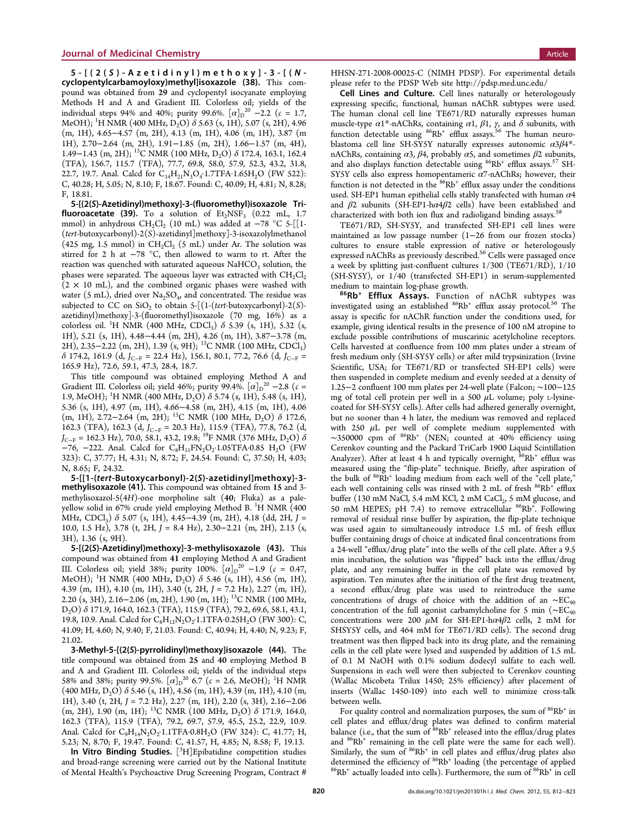5-[(2( <sup>S</sup> )-Azetidinyl)methoxy]-3-[( <sup>N</sup> - cyclopentylcarbamoyloxy)methyl]isoxazole (38). This compound was obtained from 29 and cyclopentyl isocyanate employing Methods H and A and Gradient III. Colorless oil; yields of the individual steps 94% and 40%; purity 99.6%.  $[\alpha]_{D}^{20}$  –2.2 ( $c = 1.7$ , MeOH); <sup>1</sup>H NMR (400 MHz, D<sub>2</sub>O) *δ* 5.63 (s, 1H), 5.07 (s, 2H), 4.96 (m, 1H), 4.65−4.57 (m, 2H), 4.13 (m, 1H), 4.06 (m, 1H), 3.87 (m 1H), 2.70−2.64 (m, 2H), 1.91−1.85 (m, 2H), 1.66−1.57 (m, 4H), 1.49−1.43 (m, 2H); <sup>13</sup>C NMR (100 MHz, D<sub>2</sub>O) δ 172.4, 163.1, 162.4 (TFA), 156.7, 115.7 (TFA), 77.7, 69.8, 58.0, 57.9, 52.3, 43.2, 31.8, 22.7, 19.7. Anal. Calcd for C<sub>14</sub>H<sub>21</sub>N<sub>3</sub>O<sub>4</sub>·1.7TFA·1.65H<sub>2</sub>O (FW 522): C, 40.28; H, 5.05; N, 8.10; F, 18.67. Found: C, 40.09; H, 4.81; N, 8.28; F, 18.81.

5-[(2(S)-Azetidinyl)methoxy]-3-(fluoromethyl)isoxazole Trifluoroacetate (39). To a solution of  $Et_2NSF_3$  (0.22 mL, 1.7) mmol) in anhydrous CH<sub>2</sub>Cl<sub>2</sub> (10 mL) was added at -78 °C 5-[[1-(tert-butoxycarbonyl)-2(S)-azetidinyl]methoxy]-3-isoxazolylmethanol (425 mg, 1.5 mmol) in  $CH_2Cl_2$  (5 mL) under Ar. The solution was stirred for 2 h at −78 °C, then allowed to warm to rt. After the reaction was quenched with saturated aqueous  $\mathrm{NaHCO}_3$  solution, the phases were separated. The aqueous layer was extracted with  $CH_2Cl_2$  $(2 \times 10 \text{ mL})$ , and the combined organic phases were washed with water (5 mL), dried over  $Na<sub>2</sub>SO<sub>4</sub>$ , and concentrated. The residue was subjected to CC on SiO<sub>2</sub> to obtain  $5-[ (1-(tert-butoxycarbonyl)-2(S)$ azetidinyl)methoxy]-3-(fluoromethyl)isoxazole (70 mg, 16%) as a colorless oil. <sup>1</sup>H NMR (400 MHz, CDCl<sub>3</sub>)  $\delta$  5.39 (s, 1H), 5.32 (s, 1H), 5.21 (s, 1H), 4.48−4.44 (m, 2H), 4.26 (m, 1H), 3.87−3.78 (m, 2H), 2.35−2.22 (m, 2H), 1.39 (s, 9H); 13C NMR (100 MHz, CDCl3)  $\delta$  174.2, 161.9 (d, J<sub>C−F</sub> = 22.4 Hz), 156.1, 80.1, 77.2, 76.6 (d, J<sub>C−F</sub> = 165.9 Hz), 72.6, 59.1, 47.3, 28.4, 18.7.

This title compound was obtained employing Method A and Gradient III. Colorless oil; yield 46%; purity 99.4%.  $[\alpha]_D^{\ 20} -2.8$  ( $c =$ 1.9, MeOH); <sup>1</sup>H NMR (400 MHz, D<sub>2</sub>O)  $\delta$  5.74 (s, 1H), 5.48 (s, 1H), 5.36 (s, 1H), 4.97 (m, 1H), 4.66−4.58 (m, 2H), 4.15 (m, 1H), 4.06 (m, 1H), 2.72−2.64 (m, 2H); <sup>13</sup>C NMR (100 MHz, D<sub>2</sub>O)  $\delta$  172.6, 162.3 (TFA), 162.3 (d,  $J_{C-F}$  = 20.3 Hz), 115.9 (TFA), 77.8, 76.2 (d,  $J_{C-F}$  = 162.3 Hz), 70.0, 58.1, 43.2, 19.8; <sup>19</sup>F NMR (376 MHz, D<sub>2</sub>O)  $\delta$  $-76$ ,  $-222$ . Anal. Calcd for  $C_8H_{11}FN_2O_2 \cdot 1.05TFA \cdot 0.85$  H<sub>2</sub>O (FW 323): C, 37.77; H, 4.31; N, 8.72; F, 24.54. Found: C, 37.50; H, 4.03; N, 8.65; F, 24.32.

5-[[1-(tert-Butoxycarbonyl)-2(S)-azetidinyl]methoxy]-3 methylisoxazole (41). This compound was obtained from 15 and 3 methylisoxazol-5(4H)-one morpholine salt (40; Fluka) as a paleyellow solid in 67% crude yield employing Method B. <sup>1</sup>H NMR (400 MHz, CDCl<sub>3</sub>)  $\delta$  5.07 (s, 1H), 4.45–4.39 (m, 2H), 4.18 (dd, 2H, J = 10.0, 1.5 Hz), 3.78 (t, 2H, J = 8.4 Hz), 2.30−2.21 (m, 2H), 2.13 (s, 3H), 1.36 (s, 9H).

5-[(2(S)-Azetidinyl)methoxy]-3-methylisoxazole (43). This compound was obtained from 41 employing Method A and Gradient III. Colorless oil; yield 38%; purity 100%.  $[\alpha]_D^{20} -1.9$  ( $c = 0.47$ , MeOH); <sup>1</sup>H NMR (400 MHz, D<sub>2</sub>O)  $\delta$  5.46 (s, 1H), 4.56 (m, 1H), 4.39 (m, 1H), 4.10 (m, 1H), 3.40 (t, 2H,  $J = 7.2$  Hz), 2.27 (m, 1H), 2.20 (s, 3H), 2.16−2.06 (m, 2H), 1.90 (m, 1H); 13C NMR (100 MHz, D2O) δ 171.9, 164.0, 162.3 (TFA), 115.9 (TFA), 79.2, 69.6, 58.1, 43.1, 19.8, 10.9. Anal. Calcd for  $C_8H_{12}N_2O_2$ . 1.1TFA-0.25H<sub>2</sub>O (FW 300): C, 41.09; H, 4.60; N, 9.40; F, 21.03. Found: C, 40.94; H, 4.40; N, 9.23; F, 21.02.

3-Methyl-5-[(2(S)-pyrrolidinyl)methoxy]isoxazole (44). The title compound was obtained from 25 and 40 employing Method B and A and Gradient III. Colorless oil; yields of the individual steps 58% and 38%; purity 99.5%.  $[\alpha]_{D}^{20}$  6.7 ( $c = 2.6$ , MeOH); <sup>1</sup>H NMR  $(400 \text{ MHz}, D_2O)$   $\delta$  5.46 (s, 1H), 4.56 (m, 1H), 4.39 (m, 1H), 4.10 (m, 1H), 3.40 (t, 2H, J = 7.2 Hz), 2.27 (m, 1H), 2.20 (s, 3H), 2.16−2.06 (m, 2H), 1.90 (m, 1H); <sup>13</sup>C NMR (100 MHz, D<sub>2</sub>O)  $\delta$  171.9, 164.0, 162.3 (TFA), 115.9 (TFA), 79.2, 69.7, 57.9, 45.5, 25.2, 22.9, 10.9. Anal. Calcd for C<sub>9</sub>H<sub>14</sub>N<sub>2</sub>O<sub>2</sub>·1.1TFA·0.8H<sub>2</sub>O (FW 324): C, 41.77; H, 5.23; N, 8.70; F, 19.47. Found: C, 41.57, H, 4.85; N, 8.58; F, 19.13.

In Vitro Binding Studies. [<sup>3</sup>H]Epibatidine competition studies and broad-range screening were carried out by the National Institute of Mental Health's Psychoactive Drug Screening Program, Contract # HHSN-271-2008-00025-C (NIMH PDSP). For experimental details please refer to the PDSP Web site<http://pdsp.med.unc.edu/>

Cell Lines and Culture. Cell lines naturally or heterologously expressing specific, functional, human nAChR subtypes were used. The human clonal cell line TE671/RD naturally expresses human muscle-type  $\alpha$ 1<sup>\*</sup>-nAChRs, containing  $\alpha$ 1,  $\beta$ 1,  $\gamma$ , and  $\delta$  subunits, with function detectable using <sup>86</sup>Rb<sup>+</sup> efflux assays.<sup>[56](#page-13-0)</sup> The human neuroblastoma cell line SH-SY5Y naturally expresses autonomic  $\alpha 3\beta 4^*$ nAChRs, containing  $\alpha$ 3,  $\beta$ 4, probably  $\alpha$ 5, and sometimes  $\beta$ 2 subunits, and also displays function detectable using  ${}^{86}\text{Rb}^+$  efflux assays.<sup>[57](#page-13-0)</sup> SH-SY5Y cells also express homopentameric  $\alpha$ 7-nAChRs; however, their function is not detected in the  $86Rb^+$  efflux assay under the conditions used. SH-EP1 human epithelial cells stably transfected with human  $\alpha$ 4 and  $\beta$ 2 subunits (SH-EP1-h $\alpha$ 4 $\beta$ 2 cells) have been established and characterized with both ion flux and radioligand binding assays.<sup>[58](#page-13-0)</sup>

TE671/RD, SH-SY5Y, and transfected SH-EP1 cell lines were maintained as low passage number (1−26 from our frozen stocks) cultures to ensure stable expression of native or heterologously expressed nAChRs as previously described.<sup>[56](#page-13-0)</sup> Cells were passaged once a week by splitting just-confluent cultures 1/300 (TE671/RD), 1/10  $(SH-SYSY)$ , or  $1/40$  (transfected SH-EP1) in serum-supplemented medium to maintain log-phase growth.

86Rb<sup>+</sup> Efflux Assays. Function of nAChR subtypes was investigated using an established  $86Rb$ <sup>+</sup> efflux assay protocol.<sup>[56](#page-13-0)</sup> The assay is specific for nAChR function under the conditions used, for example, giving identical results in the presence of 100 nM atropine to exclude possible contributions of muscarinic acetylcholine receptors. Cells harvested at confluence from 100 mm plates under a stream of fresh medium only (SH-SY5Y cells) or after mild trypsinization (Irvine Scientific, USA; for TE671/RD or transfected SH-EP1 cells) were then suspended in complete medium and evenly seeded at a density of 1.25−2 confluent 100 mm plates per 24-well plate (Falcon; ∼100−125 mg of total cell protein per well in a 500  $\mu$ L volume; poly L-lysinecoated for SH-SY5Y cells). After cells had adhered generally overnight, but no sooner than 4 h later, the medium was removed and replaced with 250  $\mu$ L per well of complete medium supplemented with  $\sim$ 350000 cpm of  $86Rb$ <sup>+</sup> (NEN; counted at 40% efficiency using Cerenkov counting and the Packard TriCarb 1900 Liquid Scintillation Analyzer). After at least 4 h and typically overnight,  $86Rb^+$  efflux was measured using the "flip-plate" technique. Briefly, after aspiration of the bulk of  $86Rb<sup>+</sup>$  loading medium from each well of the "cell plate," each well containing cells was rinsed with  $2 \text{ mL of fresh } ^{86}\text{Rb}^+$  efflux buffer (130 mM NaCl, 5.4 mM KCl, 2 mM CaCl<sub>2</sub>, 5 mM glucose, and 50 mM HEPES; pH 7.4) to remove extracellular <sup>86</sup>Rb<sup>+</sup>. Following removal of residual rinse buffer by aspiration, the flip-plate technique was used again to simultaneously introduce 1.5 mL of fresh efflux buffer containing drugs of choice at indicated final concentrations from a 24-well "efflux/drug plate" into the wells of the cell plate. After a 9.5 min incubation, the solution was "flipped" back into the efflux/drug plate, and any remaining buffer in the cell plate was removed by aspiration. Ten minutes after the initiation of the first drug treatment, a second efflux/drug plate was used to reintroduce the same concentrations of drugs of choice with the addition of an ∼EC<sub>90</sub> concentration of the full agonist carbamylcholine for 5 min ( $\sim$ EC<sub>90</sub> concentrations were 200  $\mu$ M for SH-EP1-h $\alpha$ 4 $\beta$ 2 cells, 2 mM for SHSY5Y cells, and 464 mM for TE671/RD cells). The second drug treatment was then flipped back into its drug plate, and the remaining cells in the cell plate were lysed and suspended by addition of 1.5 mL of 0.1 M NaOH with 0.1% sodium dodecyl sulfate to each well. Suspensions in each well were then subjected to Cerenkov counting (Wallac Micobeta Trilux 1450; 25% efficiency) after placement of inserts (Wallac 1450-109) into each well to minimize cross-talk between wells.

For quality control and normalization purposes, the sum of  $86Rb^+$  in cell plates and efflux/drug plates was defined to confirm material balance (i.e., that the sum of  $86Rb^+$  released into the efflux/drug plates and <sup>86</sup>Rb<sup>+</sup> remaining in the cell plate were the same for each well). Similarly, the sum of  $86Rb^+$  in cell plates and efflux/drug plates also determined the efficiency of  ${}^{86}Rb^+$  loading (the percentage of applied  ${}^{86}Rb^+$  actually loaded into cells). Furthermore, the sum of  ${}^{86}Rb^+$  in cell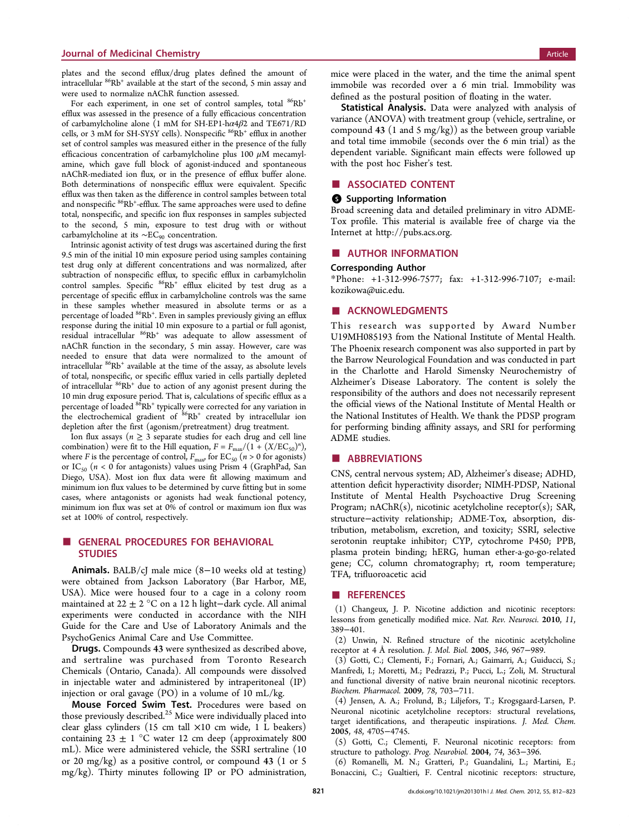<span id="page-11-0"></span>plates and the second efflux/drug plates defined the amount of intracellular  ${}^{86}Rb^+$  available at the start of the second, 5 min assay and were used to normalize nAChR function assessed.

For each experiment, in one set of control samples, total  $86Rb^+$ efflux was assessed in the presence of a fully efficacious concentration of carbamylcholine alone (1 mM for SH-EP1-h $\alpha$ 4 $\beta$ 2 and TE671/RD cells, or 3 mM for SH-SY5Y cells). Nonspecific <sup>86</sup>Rb<sup>+</sup> efflux in another set of control samples was measured either in the presence of the fully efficacious concentration of carbamylcholine plus 100  $\mu$ M mecamylamine, which gave full block of agonist-induced and spontaneous nAChR-mediated ion flux, or in the presence of efflux buffer alone. Both determinations of nonspecific efflux were equivalent. Specific efflux was then taken as the difference in control samples between total and nonspecific <sup>86</sup>Rb<sup>+</sup>-efflux. The same approaches were used to define total, nonspecific, and specific ion flux responses in samples subjected to the second, 5 min, exposure to test drug with or without carbamylcholine at its  $~\sim$ EC<sub>90</sub> concentration.

Intrinsic agonist activity of test drugs was ascertained during the first 9.5 min of the initial 10 min exposure period using samples containing test drug only at different concentrations and was normalized, after subtraction of nonspecific efflux, to specific efflux in carbamylcholin control samples. Specific  $86Rb$ <sup>+</sup> efflux elicited by test drug as a percentage of specific efflux in carbamylcholine controls was the same in these samples whether measured in absolute terms or as a percentage of loaded <sup>86</sup>Rb<sup>+</sup>. Even in samples previously giving an efflux response during the initial 10 min exposure to a partial or full agonist, residual intracellular 86Rb+ was adequate to allow assessment of nAChR function in the secondary, 5 min assay. However, care was needed to ensure that data were normalized to the amount of intracellular <sup>86</sup>Rb<sup>+</sup> available at the time of the assay, as absolute levels of total, nonspecific, or specific efflux varied in cells partially depleted of intracellular 86Rb+ due to action of any agonist present during the 10 min drug exposure period. That is, calculations of specific efflux as a percentage of loaded <sup>86</sup>Rb<sup>+</sup> typically were corrected for any variation in the electrochemical gradient of  $^{86}\text{Rb}^+$  created by intracellular ion depletion after the first (agonism/pretreatment) drug treatment.

Ion flux assays ( $n \geq 3$  separate studies for each drug and cell line combination) were fit to the Hill equation,  $F = F_{\text{max}}/(1 + (X/EC_{50})^n)$ , where *F* is the percentage of control,  $F_{\text{max}}$  for EC<sub>50</sub> (*n* > 0 for agonists) or IC<sub>50</sub> ( $n < 0$  for antagonists) values using Prism 4 (GraphPad, San Diego, USA). Most ion flux data were fit allowing maximum and minimum ion flux values to be determined by curve fitting but in some cases, where antagonists or agonists had weak functional potency, minimum ion flux was set at 0% of control or maximum ion flux was set at 100% of control, respectively.

## **GENERAL PROCEDURES FOR BEHAVIORAL STUDIES**

Animals. BALB/cJ male mice (8−10 weeks old at testing) were obtained from Jackson Laboratory (Bar Harbor, ME, USA). Mice were housed four to a cage in a colony room maintained at 22 ± 2 °C on a 12 h light−dark cycle. All animal experiments were conducted in accordance with the NIH Guide for the Care and Use of Laboratory Animals and the PsychoGenics Animal Care and Use Committee.

Drugs. Compounds 43 were synthesized as described above, and sertraline was purchased from Toronto Research Chemicals (Ontario, Canada). All compounds were dissolved in injectable water and administered by intraperitoneal (IP) injection or oral gavage (PO) in a volume of 10 mL/kg.

Mouse Forced Swim Test. Procedures were based on those previously described.<sup>[25](#page-12-0)</sup> Mice were individually placed into clear glass cylinders (15 cm tall ×10 cm wide, 1 L beakers) containing  $23 \pm 1$  °C water 12 cm deep (approximately 800 mL). Mice were administered vehicle, the SSRI sertraline (10 or 20 mg/kg) as a positive control, or compound 43 (1 or 5 mg/kg). Thirty minutes following IP or PO administration,

mice were placed in the water, and the time the animal spent immobile was recorded over a 6 min trial. Immobility was defined as the postural position of floating in the water.

Statistical Analysis. Data were analyzed with analysis of variance (ANOVA) with treatment group (vehicle, sertraline, or compound 43 (1 and 5 mg/kg)) as the between group variable and total time immobile (seconds over the 6 min trial) as the dependent variable. Significant main effects were followed up with the post hoc Fisher's test.

### ■ ASSOCIATED CONTENT

#### **6** Supporting Information

Broad screening data and detailed preliminary in vitro ADME-Tox profile. This material is available free of charge via the Internet at<http://pubs.acs.org>.

## **E** AUTHOR INFORMATION

### Corresponding Author

\*Phone: +1-312-996-7577; fax: +1-312-996-7107; e-mail: [kozikowa@uic.edu.](mailto:kozikowa@uic.edu)

#### ■ ACKNOWLEDGMENTS

This research was supported by Award Number U19MH085193 from the National Institute of Mental Health. The Phoenix research component was also supported in part by the Barrow Neurological Foundation and was conducted in part in the Charlotte and Harold Simensky Neurochemistry of Alzheimer's Disease Laboratory. The content is solely the responsibility of the authors and does not necessarily represent the official views of the National Institute of Mental Health or the National Institutes of Health. We thank the PDSP program for performing binding affinity assays, and SRI for performing ADME studies.

### ■ ABBREVIATIONS

CNS, central nervous system; AD, Alzheimer's disease; ADHD, attention deficit hyperactivity disorder; NIMH-PDSP, National Institute of Mental Health Psychoactive Drug Screening Program; nAChR(s), nicotinic acetylcholine receptor(s); SAR, structure−activity relationship; ADME-Tox, absorption, distribution, metabolism, excretion, and toxicity; SSRI, selective serotonin reuptake inhibitor; CYP, cytochrome P450; PPB, plasma protein binding; hERG, human ether-a-go-go-related gene; CC, column chromatography; rt, room temperature; TFA, trifluoroacetic acid

#### ■ REFERENCES

(1) Changeux, J. P. Nicotine addiction and nicotinic receptors: lessons from genetically modified mice. Nat. Rev. Neurosci. 2010, 11, 389−401.

(2) Unwin, N. Refined structure of the nicotinic acetylcholine receptor at 4 Å resolution. J. Mol. Biol. 2005, 346, 967−989.

(3) Gotti, C.; Clementi, F.; Fornari, A.; Gaimarri, A.; Guiducci, S.; Manfredi, I.; Moretti, M.; Pedrazzi, P.; Pucci, L.; Zoli, M. Structural and functional diversity of native brain neuronal nicotinic receptors. Biochem. Pharmacol. 2009, 78, 703−711.

(4) Jensen, A. A.; Frolund, B.; Liljefors, T.; Krogsgaard-Larsen, P. Neuronal nicotinic acetylcholine receptors: structural revelations, target identifications, and therapeutic inspirations. J. Med. Chem. 2005, 48, 4705−4745.

(5) Gotti, C.; Clementi, F. Neuronal nicotinic receptors: from structure to pathology. Prog. Neurobiol. 2004, 74, 363−396.

(6) Romanelli, M. N.; Gratteri, P.; Guandalini, L.; Martini, E.; Bonaccini, C.; Gualtieri, F. Central nicotinic receptors: structure,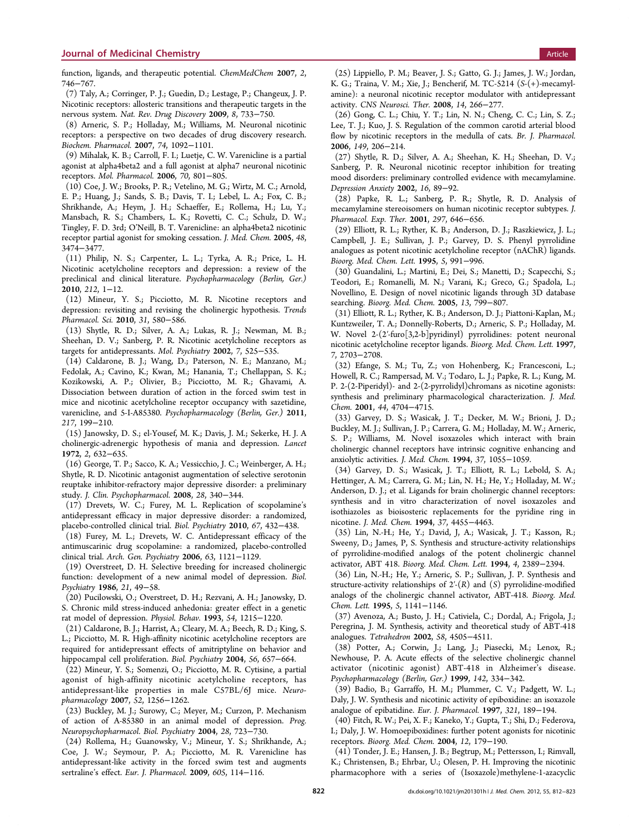<span id="page-12-0"></span>function, ligands, and therapeutic potential. ChemMedChem 2007, 2, 746−767.

(7) Taly, A.; Corringer, P. J.; Guedin, D.; Lestage, P.; Changeux, J. P. Nicotinic receptors: allosteric transitions and therapeutic targets in the nervous system. Nat. Rev. Drug Discovery 2009, 8, 733−750.

(8) Arneric, S. P.; Holladay, M.; Williams, M. Neuronal nicotinic receptors: a perspective on two decades of drug discovery research. Biochem. Pharmacol. 2007, 74, 1092−1101.

(9) Mihalak, K. B.; Carroll, F. I.; Luetje, C. W. Varenicline is a partial agonist at alpha4beta2 and a full agonist at alpha7 neuronal nicotinic receptors. Mol. Pharmacol. 2006, 70, 801−805.

(10) Coe, J. W.; Brooks, P. R.; Vetelino, M. G.; Wirtz, M. C.; Arnold, E. P.; Huang, J.; Sands, S. B.; Davis, T. I.; Lebel, L. A.; Fox, C. B.; Shrikhande, A.; Heym, J. H.; Schaeffer, E.; Rollema, H.; Lu, Y.; Mansbach, R. S.; Chambers, L. K.; Rovetti, C. C.; Schulz, D. W.; Tingley, F. D. 3rd; O'Neill, B. T. Varenicline: an alpha4beta2 nicotinic receptor partial agonist for smoking cessation. J. Med. Chem. 2005, 48, 3474−3477.

(11) Philip, N. S.; Carpenter, L. L.; Tyrka, A. R.; Price, L. H. Nicotinic acetylcholine receptors and depression: a review of the preclinical and clinical literature. Psychopharmacology (Berlin, Ger.) 2010, 212, 1−12.

(12) Mineur, Y. S.; Picciotto, M. R. Nicotine receptors and depression: revisiting and revising the cholinergic hypothesis. Trends Pharmacol. Sci. 2010, 31, 580−586.

(13) Shytle, R. D.; Silver, A. A.; Lukas, R. J.; Newman, M. B.; Sheehan, D. V.; Sanberg, P. R. Nicotinic acetylcholine receptors as targets for antidepressants. Mol. Psychiatry 2002, 7, 525−535.

(14) Caldarone, B. J.; Wang, D.; Paterson, N. E.; Manzano, M.; Fedolak, A.; Cavino, K.; Kwan, M.; Hanania, T.; Chellappan, S. K.; Kozikowski, A. P.; Olivier, B.; Picciotto, M. R.; Ghavami, A. Dissociation between duration of action in the forced swim test in mice and nicotinic acetylcholine receptor occupancy with sazetidine, varenicline, and 5-I-A85380. Psychopharmacology (Berlin, Ger.) 2011, 217, 199−210.

(15) Janowsky, D. S.; el-Yousef, M. K.; Davis, J. M.; Sekerke, H. J. A cholinergic-adrenergic hypothesis of mania and depression. Lancet 1972, 2, 632−635.

(16) George, T. P.; Sacco, K. A.; Vessicchio, J. C.; Weinberger, A. H.; Shytle, R. D. Nicotinic antagonist augmentation of selective serotonin reuptake inhibitor-refractory major depressive disorder: a preliminary study. J. Clin. Psychopharmacol. 2008, 28, 340−344.

(17) Drevets, W. C.; Furey, M. L. Replication of scopolamine's antidepressant efficacy in major depressive disorder: a randomized, placebo-controlled clinical trial. Biol. Psychiatry 2010, 67, 432−438.

(18) Furey, M. L.; Drevets, W. C. Antidepressant efficacy of the antimuscarinic drug scopolamine: a randomized, placebo-controlled clinical trial. Arch. Gen. Psychiatry 2006, 63, 1121−1129.

(19) Overstreet, D. H. Selective breeding for increased cholinergic function: development of a new animal model of depression. Biol. Psychiatry 1986, 21, 49−58.

(20) Pucilowski, O.; Overstreet, D. H.; Rezvani, A. H.; Janowsky, D. S. Chronic mild stress-induced anhedonia: greater effect in a genetic rat model of depression. Physiol. Behav. 1993, 54, 1215−1220.

(21) Caldarone, B. J.; Harrist, A.; Cleary, M. A.; Beech, R. D.; King, S. L.; Picciotto, M. R. High-affinity nicotinic acetylcholine receptors are required for antidepressant effects of amitriptyline on behavior and hippocampal cell proliferation. Biol. Psychiatry 2004, 56, 657−664.

(22) Mineur, Y. S.; Somenzi, O.; Picciotto, M. R. Cytisine, a partial agonist of high-affinity nicotinic acetylcholine receptors, has antidepressant-like properties in male C57BL/6J mice. Neuropharmacology 2007, 52, 1256−1262.

(23) Buckley, M. J.; Surowy, C.; Meyer, M.; Curzon, P. Mechanism of action of A-85380 in an animal model of depression. Prog. Neuropsychopharmacol. Biol. Psychiatry 2004, 28, 723−730.

(24) Rollema, H.; Guanowsky, V.; Mineur, Y. S.; Shrikhande, A.; Coe, J. W.; Seymour, P. A.; Picciotto, M. R. Varenicline has antidepressant-like activity in the forced swim test and augments sertraline's effect. Eur. J. Pharmacol. 2009, 605, 114−116.

(25) Lippiello, P. M.; Beaver, J. S.; Gatto, G. J.; James, J. W.; Jordan, K. G.; Traina, V. M.; Xie, J.; Bencherif, M. TC-5214 (S-(+)-mecamylamine): a neuronal nicotinic receptor modulator with antidepressant activity. CNS Neurosci. Ther. 2008, 14, 266−277.

(26) Gong, C. L.; Chiu, Y. T.; Lin, N. N.; Cheng, C. C.; Lin, S. Z.; Lee, T. J.; Kuo, J. S. Regulation of the common carotid arterial blood flow by nicotinic receptors in the medulla of cats. Br. J. Pharmacol. 2006, 149, 206−214.

(27) Shytle, R. D.; Silver, A. A.; Sheehan, K. H.; Sheehan, D. V.; Sanberg, P. R. Neuronal nicotinic receptor inhibition for treating mood disorders: preliminary controlled evidence with mecamylamine. Depression Anxiety 2002, 16, 89−92.

(28) Papke, R. L.; Sanberg, P. R.; Shytle, R. D. Analysis of mecamylamine stereoisomers on human nicotinic receptor subtypes. J. Pharmacol. Exp. Ther. 2001, 297, 646−656.

(29) Elliott, R. L.; Ryther, K. B.; Anderson, D. J.; Raszkiewicz, J. L.; Campbell, J. E.; Sullivan, J. P.; Garvey, D. S. Phenyl pyrrolidine analogues as potent nicotinic acetylcholine receptor (nAChR) ligands. Bioorg. Med. Chem. Lett. 1995, 5, 991−996.

(30) Guandalini, L.; Martini, E.; Dei, S.; Manetti, D.; Scapecchi, S.; Teodori, E.; Romanelli, M. N.; Varani, K.; Greco, G.; Spadola, L.; Novellino, E. Design of novel nicotinic ligands through 3D database searching. Bioorg. Med. Chem. 2005, 13, 799−807.

(31) Elliott, R. L.; Ryther, K. B.; Anderson, D. J.; Piattoni-Kaplan, M.; Kuntzweiler, T. A.; Donnelly-Roberts, D.; Arneric, S. P.; Holladay, M. W. Novel 2-(2′-furo[3,2-b]pyridinyl) pyrrolidines: potent neuronal nicotinic acetylcholine receptor ligands. Bioorg. Med. Chem. Lett. 1997, 7, 2703−2708.

(32) Efange, S. M.; Tu, Z.; von Hohenberg, K.; Francesconi, L.; Howell, R. C.; Rampersad, M. V.; Todaro, L. J.; Papke, R. L.; Kung, M. P. 2-(2-Piperidyl)- and 2-(2-pyrrolidyl)chromans as nicotine agonists: synthesis and preliminary pharmacological characterization. J. Med. Chem. 2001, 44, 4704−4715.

(33) Garvey, D. S.; Wasicak, J. T.; Decker, M. W.; Brioni, J. D.; Buckley, M. J.; Sullivan, J. P.; Carrera, G. M.; Holladay, M. W.; Arneric, S. P.; Williams, M. Novel isoxazoles which interact with brain cholinergic channel receptors have intrinsic cognitive enhancing and anxiolytic activities. J. Med. Chem. 1994, 37, 1055−1059.

(34) Garvey, D. S.; Wasicak, J. T.; Elliott, R. L.; Lebold, S. A.; Hettinger, A. M.; Carrera, G. M.; Lin, N. H.; He, Y.; Holladay, M. W.; Anderson, D. J.; et al. Ligands for brain cholinergic channel receptors: synthesis and in vitro characterization of novel isoxazoles and isothiazoles as bioisosteric replacements for the pyridine ring in nicotine. J. Med. Chem. 1994, 37, 4455−4463.

(35) Lin, N.-H.; He, Y.; David, J, A.; Wasicak, J. T.; Kasson, R.; Sweeny, D.; James, P, S. Synthesis and structure-activity relationships of pyrrolidine-modified analogs of the potent cholinergic channel activator, ABT 418. Bioorg. Med. Chem. Lett. 1994, 4, 2389−2394.

(36) Lin, N.-H.; He, Y.; Arneric, S. P.; Sullivan, J. P. Synthesis and structure-activity relationships of  $2-(R)$  and  $(S)$  pyrrolidine-modified analogs of the cholinergic channel activator, ABT-418. Bioorg. Med. Chem. Lett. 1995, 5, 1141−1146.

(37) Avenoza, A.; Busto, J. H.; Cativiela, C.; Dordal, A.; Frigola, J.; Peregrina, J. M. Synthesis, activity and theoretical study of ABT-418 analogues. Tetrahedron 2002, 58, 4505−4511.

(38) Potter, A.; Corwin, J.; Lang, J.; Piasecki, M.; Lenox, R.; Newhouse, P. A. Acute effects of the selective cholinergic channel activator (nicotinic agonist) ABT-418 in Alzheimer's disease. Psychopharmacology (Berlin, Ger.) 1999, 142, 334−342.

(39) Badio, B.; Garraffo, H. M.; Plummer, C. V.; Padgett, W. L.; Daly, J. W. Synthesis and nicotinic activity of epiboxidine: an isoxazole analogue of epibatidine. Eur. J. Pharmacol. 1997, 321, 189−194.

(40) Fitch, R. W.; Pei, X. F.; Kaneko, Y.; Gupta, T.; Shi, D.; Federova, I.; Daly, J. W. Homoepiboxidines: further potent agonists for nicotinic receptors. Bioorg. Med. Chem. 2004, 12, 179−190.

(41) Tonder, J. E.; Hansen, J. B.; Begtrup, M.; Pettersson, I.; Rimvall, K.; Christensen, B.; Ehrbar, U.; Olesen, P. H. Improving the nicotinic pharmacophore with a series of (Isoxazole)methylene-1-azacyclic